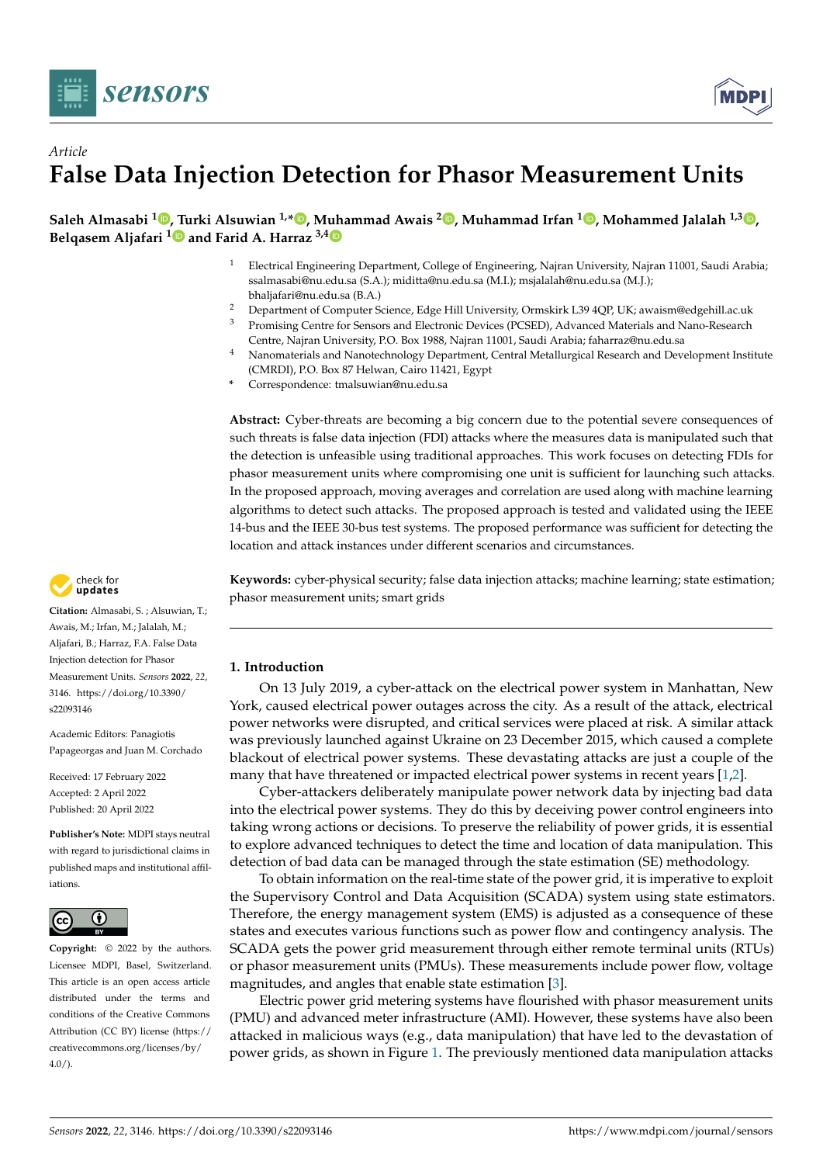



# *Article* **False Data Injection Detection for Phasor Measurement Units**

**Saleh Almasabi <sup>1</sup> [,](https://orcid.org/0000-0003-4653-190X) [Tu](https://orcid.org/0000-0001-9359-2436)rki Alsuwian 1,\* [,](https://orcid.org/0000-0001-9579-9115) Muhammad Awais <sup>2</sup> [,](https://orcid.org/0000-0001-6421-9245) Muhammad Irfan <sup>1</sup> [,](https://orcid.org/0000-0003-4161-6875) Mohammed Jalalah 1,3 [,](https://orcid.org/0000-0002-6828-3874) Belqasem Aljafari <sup>1</sup> and Farid A. Harraz 3,[4](https://orcid.org/0000-0001-7776-7099)**

- <sup>1</sup> Electrical Engineering Department, College of Engineering, Najran University, Najran 11001, Saudi Arabia; ssalmasabi@nu.edu.sa (S.A.); miditta@nu.edu.sa (M.I.); msjalalah@nu.edu.sa (M.J.); bhaljafari@nu.edu.sa (B.A.)
- <sup>2</sup> Department of Computer Science, Edge Hill University, Ormskirk L39 4QP, UK; awaism@edgehill.ac.uk<br><sup>3</sup> Promising Contra for Sensors and Electronic Devices (PCSED). Advanced Materials and Nano-Besearch
- <sup>3</sup> Promising Centre for Sensors and Electronic Devices (PCSED), Advanced Materials and Nano-Research Centre, Najran University, P.O. Box 1988, Najran 11001, Saudi Arabia; faharraz@nu.edu.sa
- <sup>4</sup> Nanomaterials and Nanotechnology Department, Central Metallurgical Research and Development Institute (CMRDI), P.O. Box 87 Helwan, Cairo 11421, Egypt
- **\*** Correspondence: tmalsuwian@nu.edu.sa

**Abstract:** Cyber-threats are becoming a big concern due to the potential severe consequences of such threats is false data injection (FDI) attacks where the measures data is manipulated such that the detection is unfeasible using traditional approaches. This work focuses on detecting FDIs for phasor measurement units where compromising one unit is sufficient for launching such attacks. In the proposed approach, moving averages and correlation are used along with machine learning algorithms to detect such attacks. The proposed approach is tested and validated using the IEEE 14-bus and the IEEE 30-bus test systems. The proposed performance was sufficient for detecting the location and attack instances under different scenarios and circumstances.



**Citation:** Almasabi, S. ; Alsuwian, T.; Awais, M.; Irfan, M.; Jalalah, M.; Aljafari, B.; Harraz, F.A. False Data Injection detection for Phasor Measurement Units. *Sensors* **2022**, *22*, 3146. [https://doi.org/10.3390/](https://doi.org/10.3390/s22093146) [s22093146](https://doi.org/10.3390/s22093146)

Academic Editors: Panagiotis Papageorgas and Juan M. Corchado

Received: 17 February 2022 Accepted: 2 April 2022 Published: 20 April 2022

**Publisher's Note:** MDPI stays neutral with regard to jurisdictional claims in published maps and institutional affiliations.



**Copyright:** © 2022 by the authors. Licensee MDPI, Basel, Switzerland. This article is an open access article distributed under the terms and conditions of the Creative Commons Attribution (CC BY) license [\(https://](https://creativecommons.org/licenses/by/4.0/) [creativecommons.org/licenses/by/](https://creativecommons.org/licenses/by/4.0/)  $4.0/$ ).

**Keywords:** cyber-physical security; false data injection attacks; machine learning; state estimation; phasor measurement units; smart grids

## **1. Introduction**

On 13 July 2019, a cyber-attack on the electrical power system in Manhattan, New York, caused electrical power outages across the city. As a result of the attack, electrical power networks were disrupted, and critical services were placed at risk. A similar attack was previously launched against Ukraine on 23 December 2015, which caused a complete blackout of electrical power systems. These devastating attacks are just a couple of the many that have threatened or impacted electrical power systems in recent years [\[1,](#page-15-0)[2\]](#page-15-1).

Cyber-attackers deliberately manipulate power network data by injecting bad data into the electrical power systems. They do this by deceiving power control engineers into taking wrong actions or decisions. To preserve the reliability of power grids, it is essential to explore advanced techniques to detect the time and location of data manipulation. This detection of bad data can be managed through the state estimation (SE) methodology.

To obtain information on the real-time state of the power grid, it is imperative to exploit the Supervisory Control and Data Acquisition (SCADA) system using state estimators. Therefore, the energy management system (EMS) is adjusted as a consequence of these states and executes various functions such as power flow and contingency analysis. The SCADA gets the power grid measurement through either remote terminal units (RTUs) or phasor measurement units (PMUs). These measurements include power flow, voltage magnitudes, and angles that enable state estimation [\[3\]](#page-15-2).

Electric power grid metering systems have flourished with phasor measurement units (PMU) and advanced meter infrastructure (AMI). However, these systems have also been attacked in malicious ways (e.g., data manipulation) that have led to the devastation of power grids, as shown in Figure [1.](#page-1-0) The previously mentioned data manipulation attacks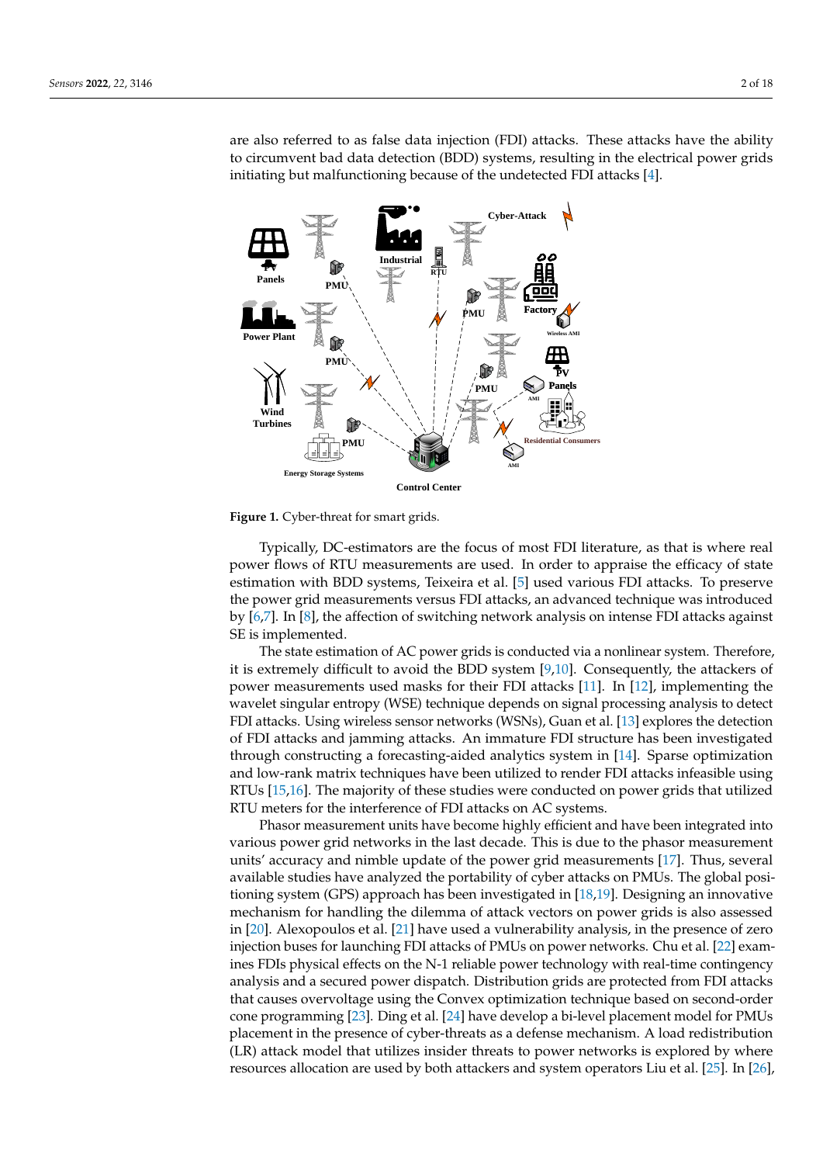are also referred to as false data injection (FDI) attacks. These attacks have the ability to circumvent bad data detection (BDD) systems, resulting in the electrical power grids initiating but malfunctioning because of the undetected FDI attacks [\[4\]](#page-16-0).

<span id="page-1-0"></span>

**Figure 1.** Cyber-threat for smart grids.

Typically, DC-estimators are the focus of most FDI literature, as that is where real power flows of RTU measurements are used. In order to appraise the efficacy of state estimation with BDD systems, Teixeira et al. [\[5\]](#page-16-1) used various FDI attacks. To preserve the power grid measurements versus FDI attacks, an advanced technique was introduced by [\[6](#page-16-2)[,7\]](#page-16-3). In [\[8\]](#page-16-4), the affection of switching network analysis on intense FDI attacks against SE is implemented.

The state estimation of AC power grids is conducted via a nonlinear system. Therefore, it is extremely difficult to avoid the BDD system [\[9](#page-16-5)[,10\]](#page-16-6). Consequently, the attackers of power measurements used masks for their FDI attacks [\[11\]](#page-16-7). In [\[12\]](#page-16-8), implementing the wavelet singular entropy (WSE) technique depends on signal processing analysis to detect FDI attacks. Using wireless sensor networks (WSNs), Guan et al. [\[13\]](#page-16-9) explores the detection of FDI attacks and jamming attacks. An immature FDI structure has been investigated through constructing a forecasting-aided analytics system in [\[14\]](#page-16-10). Sparse optimization and low-rank matrix techniques have been utilized to render FDI attacks infeasible using RTUs [\[15,](#page-16-11)[16\]](#page-16-12). The majority of these studies were conducted on power grids that utilized RTU meters for the interference of FDI attacks on AC systems.

Phasor measurement units have become highly efficient and have been integrated into various power grid networks in the last decade. This is due to the phasor measurement units' accuracy and nimble update of the power grid measurements [\[17\]](#page-16-13). Thus, several available studies have analyzed the portability of cyber attacks on PMUs. The global positioning system (GPS) approach has been investigated in [\[18,](#page-16-14)[19\]](#page-16-15). Designing an innovative mechanism for handling the dilemma of attack vectors on power grids is also assessed in [\[20\]](#page-16-16). Alexopoulos et al. [\[21\]](#page-16-17) have used a vulnerability analysis, in the presence of zero injection buses for launching FDI attacks of PMUs on power networks. Chu et al. [\[22\]](#page-16-18) examines FDIs physical effects on the N-1 reliable power technology with real-time contingency analysis and a secured power dispatch. Distribution grids are protected from FDI attacks that causes overvoltage using the Convex optimization technique based on second-order cone programming [\[23\]](#page-16-19). Ding et al. [\[24\]](#page-16-20) have develop a bi-level placement model for PMUs placement in the presence of cyber-threats as a defense mechanism. A load redistribution (LR) attack model that utilizes insider threats to power networks is explored by where resources allocation are used by both attackers and system operators Liu et al. [\[25\]](#page-16-21). In [\[26\]](#page-16-22),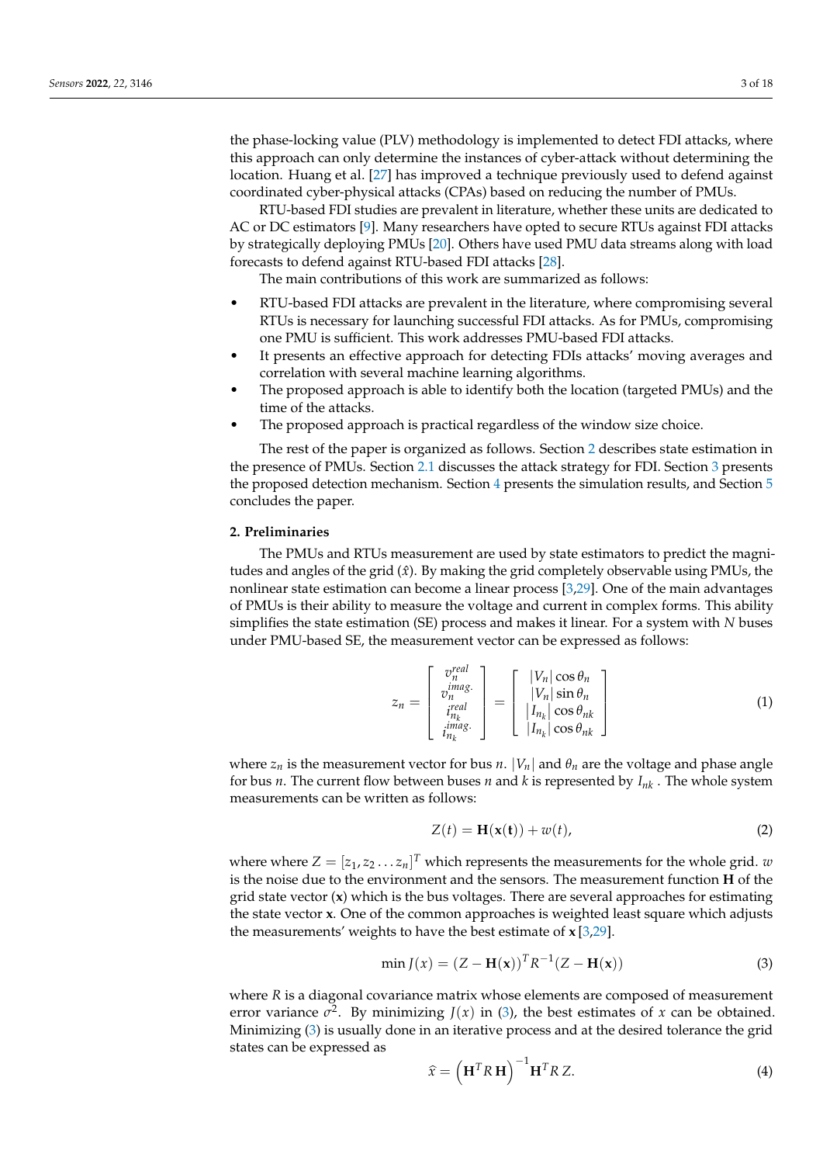the phase-locking value (PLV) methodology is implemented to detect FDI attacks, where this approach can only determine the instances of cyber-attack without determining the location. Huang et al. [\[27\]](#page-16-23) has improved a technique previously used to defend against coordinated cyber-physical attacks (CPAs) based on reducing the number of PMUs.

RTU-based FDI studies are prevalent in literature, whether these units are dedicated to AC or DC estimators [\[9\]](#page-16-5). Many researchers have opted to secure RTUs against FDI attacks by strategically deploying PMUs [\[20\]](#page-16-16). Others have used PMU data streams along with load forecasts to defend against RTU-based FDI attacks [\[28\]](#page-16-24).

The main contributions of this work are summarized as follows:

- RTU-based FDI attacks are prevalent in the literature, where compromising several RTUs is necessary for launching successful FDI attacks. As for PMUs, compromising one PMU is sufficient. This work addresses PMU-based FDI attacks.
- It presents an effective approach for detecting FDIs attacks' moving averages and correlation with several machine learning algorithms.
- The proposed approach is able to identify both the location (targeted PMUs) and the time of the attacks.
- The proposed approach is practical regardless of the window size choice.

The rest of the paper is organized as follows. Section [2](#page-2-0) describes state estimation in the presence of PMUs. Section [2.1](#page-3-0) discusses the attack strategy for FDI. Section [3](#page-4-0) presents the proposed detection mechanism. Section [4](#page-7-0) presents the simulation results, and Section [5](#page-15-3) concludes the paper.

#### <span id="page-2-0"></span>**2. Preliminaries**

The PMUs and RTUs measurement are used by state estimators to predict the magnitudes and angles of the grid  $(\hat{x})$ . By making the grid completely observable using PMUs, the nonlinear state estimation can become a linear process [\[3](#page-15-2)[,29\]](#page-16-25). One of the main advantages of PMUs is their ability to measure the voltage and current in complex forms. This ability simplifies the state estimation (SE) process and makes it linear. For a system with *N* buses under PMU-based SE, the measurement vector can be expressed as follows:

$$
z_n = \begin{bmatrix} v_n^{real} \\ v_n^{imag} \\ v_n^{real} \\ v_{n_k}^{real} \\ i_{n_k}^{imag.} \end{bmatrix} = \begin{bmatrix} |V_n| \cos \theta_n \\ |V_n| \sin \theta_n \\ |I_{n_k}| \cos \theta_{nk} \\ |I_{n_k}| \cos \theta_{nk} \end{bmatrix}
$$
(1)

where  $z_n$  is the measurement vector for bus *n*.  $|V_n|$  and  $\theta_n$  are the voltage and phase angle for bus *n*. The current flow between buses *n* and *k* is represented by *Ink* . The whole system measurements can be written as follows:

<span id="page-2-2"></span>
$$
Z(t) = \mathbf{H}(\mathbf{x}(t)) + w(t),
$$
\n(2)

where where  $Z = [z_1, z_2 \dots z_n]^T$  which represents the measurements for the whole grid. *w* is the noise due to the environment and the sensors. The measurement function **H** of the grid state vector (**x**) which is the bus voltages. There are several approaches for estimating the state vector **x**. One of the common approaches is weighted least square which adjusts the measurements' weights to have the best estimate of **x** [\[3,](#page-15-2)[29\]](#page-16-25).

<span id="page-2-1"></span>
$$
\min J(x) = (Z - \mathbf{H}(\mathbf{x}))^T R^{-1} (Z - \mathbf{H}(\mathbf{x}))
$$
\n(3)

where *R* is a diagonal covariance matrix whose elements are composed of measurement error variance  $\sigma^2$ . By minimizing  $J(x)$  in [\(3\)](#page-2-1), the best estimates of *x* can be obtained. Minimizing [\(3\)](#page-2-1) is usually done in an iterative process and at the desired tolerance the grid states can be expressed as

$$
\widehat{\mathbf{x}} = \left(\mathbf{H}^T R \mathbf{H}\right)^{-1} \mathbf{H}^T R Z.
$$
\n(4)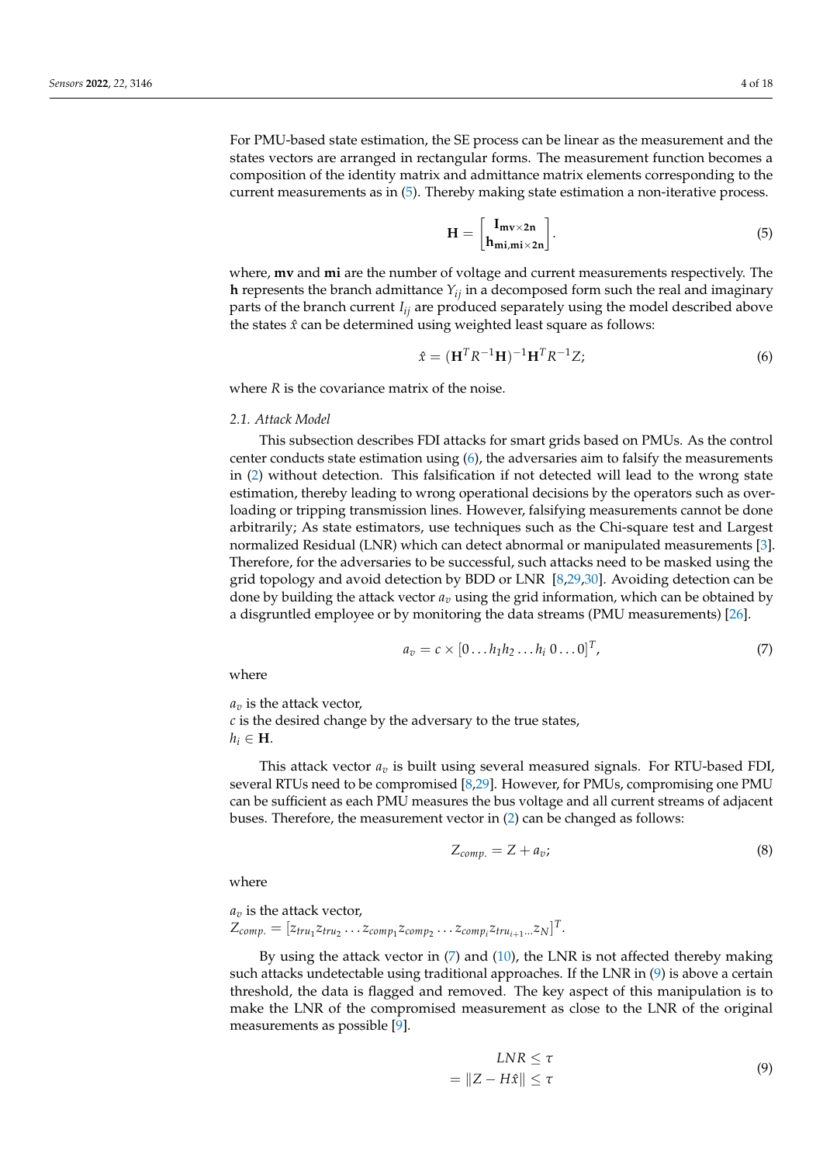For PMU-based state estimation, the SE process can be linear as the measurement and the states vectors are arranged in rectangular forms. The measurement function becomes a composition of the identity matrix and admittance matrix elements corresponding to the current measurements as in [\(5\)](#page-3-1). Thereby making state estimation a non-iterative process.

<span id="page-3-1"></span>
$$
\mathbf{H} = \begin{bmatrix} \mathbf{I}_{\mathbf{m}\mathbf{v}\times\mathbf{2n}} \\ \mathbf{h}_{\mathbf{m}\mathbf{i},\mathbf{m}\mathbf{i}\times\mathbf{2n}} \end{bmatrix} . \tag{5}
$$

where, **mv** and **mi** are the number of voltage and current measurements respectively. The **h** represents the branch admittance *Yij* in a decomposed form such the real and imaginary parts of the branch current *Iij* are produced separately using the model described above the states  $\hat{x}$  can be determined using weighted least square as follows:

<span id="page-3-2"></span>
$$
\hat{\mathbf{x}} = (\mathbf{H}^T R^{-1} \mathbf{H})^{-1} \mathbf{H}^T R^{-1} Z; \tag{6}
$$

where *R* is the covariance matrix of the noise.

#### <span id="page-3-0"></span>*2.1. Attack Model*

This subsection describes FDI attacks for smart grids based on PMUs. As the control center conducts state estimation using [\(6\)](#page-3-2), the adversaries aim to falsify the measurements in [\(2\)](#page-2-2) without detection. This falsification if not detected will lead to the wrong state estimation, thereby leading to wrong operational decisions by the operators such as overloading or tripping transmission lines. However, falsifying measurements cannot be done arbitrarily; As state estimators, use techniques such as the Chi-square test and Largest normalized Residual (LNR) which can detect abnormal or manipulated measurements [\[3\]](#page-15-2). Therefore, for the adversaries to be successful, such attacks need to be masked using the grid topology and avoid detection by BDD or LNR [\[8](#page-16-4)[,29](#page-16-25)[,30\]](#page-16-26). Avoiding detection can be done by building the attack vector  $a<sub>v</sub>$  using the grid information, which can be obtained by a disgruntled employee or by monitoring the data streams (PMU measurements) [\[26\]](#page-16-22).

<span id="page-3-3"></span>
$$
a_v = c \times [0 \dots h_1 h_2 \dots h_i \space 0 \dots 0]^T,
$$
\n
$$
(7)
$$

where

*a<sup>v</sup>* is the attack vector, *c* is the desired change by the adversary to the true states,  $h_i \in H$ .

This attack vector *a<sup>v</sup>* is built using several measured signals. For RTU-based FDI, several RTUs need to be compromised [\[8,](#page-16-4)[29\]](#page-16-25). However, for PMUs, compromising one PMU can be sufficient as each PMU measures the bus voltage and all current streams of adjacent buses. Therefore, the measurement vector in [\(2\)](#page-2-2) can be changed as follows:

<span id="page-3-5"></span>
$$
Z_{comp.} = Z + a_v; \t\t(8)
$$

where

$$
a_v
$$
 is the attack vector,  
\n
$$
Z_{comp.} = [z_{tru_1}z_{tru_2} \dots z_{comp_1}z_{comp_2} \dots z_{comp_i}z_{tru_{i+1}...}z_N]^T.
$$

<span id="page-3-4"></span>By using the attack vector in  $(7)$  and  $(10)$ , the LNR is not affected thereby making such attacks undetectable using traditional approaches. If the LNR in [\(9\)](#page-3-4) is above a certain threshold, the data is flagged and removed. The key aspect of this manipulation is to make the LNR of the compromised measurement as close to the LNR of the original measurements as possible [\[9\]](#page-16-5).

$$
LNR \le \tau
$$
  
=  $||Z - H\hat{x}|| \le \tau$  (9)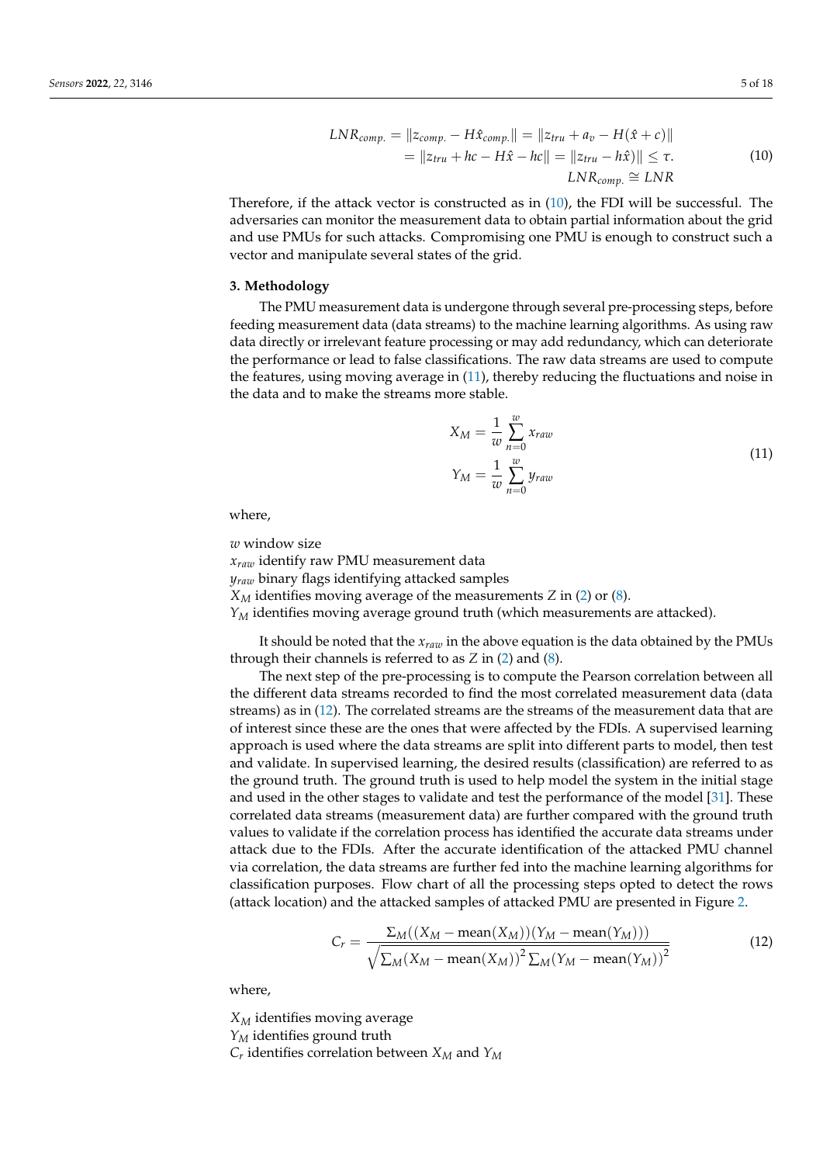$$
LNR_{comp.} = \|z_{comp.} - H\hat{x}_{comp.}\| = \|z_{tru} + a_v - H(\hat{x} + c)\|
$$
  
=  $\|z_{tru} + hc - H\hat{x} - hc\| = \|z_{tru} - h\hat{x}\| \le \tau.$   

$$
LNR_{comp.} \cong LNR
$$
 (10)

<span id="page-4-1"></span>Therefore, if the attack vector is constructed as in [\(10\)](#page-4-1), the FDI will be successful. The adversaries can monitor the measurement data to obtain partial information about the grid and use PMUs for such attacks. Compromising one PMU is enough to construct such a vector and manipulate several states of the grid.

#### <span id="page-4-0"></span>**3. Methodology**

The PMU measurement data is undergone through several pre-processing steps, before feeding measurement data (data streams) to the machine learning algorithms. As using raw data directly or irrelevant feature processing or may add redundancy, which can deteriorate the performance or lead to false classifications. The raw data streams are used to compute the features, using moving average in [\(11\)](#page-4-2), thereby reducing the fluctuations and noise in the data and to make the streams more stable.

$$
X_M = \frac{1}{w} \sum_{n=0}^{w} x_{raw}
$$
  

$$
Y_M = \frac{1}{w} \sum_{n=0}^{w} y_{raw}
$$
 (11)

<span id="page-4-2"></span>where,

*w* window size

*xraw* identify raw PMU measurement data

*yraw* binary flags identifying attacked samples

*X<sup>M</sup>* identifies moving average of the measurements *Z* in [\(2\)](#page-2-2) or [\(8\)](#page-3-5).

*Y<sup>M</sup>* identifies moving average ground truth (which measurements are attacked).

It should be noted that the *xraw* in the above equation is the data obtained by the PMUs through their channels is referred to as *Z* in [\(2\)](#page-2-2) and [\(8\)](#page-3-5).

The next step of the pre-processing is to compute the Pearson correlation between all the different data streams recorded to find the most correlated measurement data (data streams) as in [\(12\)](#page-4-3). The correlated streams are the streams of the measurement data that are of interest since these are the ones that were affected by the FDIs. A supervised learning approach is used where the data streams are split into different parts to model, then test and validate. In supervised learning, the desired results (classification) are referred to as the ground truth. The ground truth is used to help model the system in the initial stage and used in the other stages to validate and test the performance of the model [\[31\]](#page-16-27). These correlated data streams (measurement data) are further compared with the ground truth values to validate if the correlation process has identified the accurate data streams under attack due to the FDIs. After the accurate identification of the attacked PMU channel via correlation, the data streams are further fed into the machine learning algorithms for classification purposes. Flow chart of all the processing steps opted to detect the rows (attack location) and the attacked samples of attacked PMU are presented in Figure [2.](#page-5-0)

<span id="page-4-3"></span>
$$
C_r = \frac{\Sigma_M((X_M - \text{mean}(X_M))(Y_M - \text{mean}(Y_M)))}{\sqrt{\sum_M (X_M - \text{mean}(X_M))^2 \sum_M (Y_M - \text{mean}(Y_M))^2}}
$$
(12)

where,

*X<sup>M</sup>* identifies moving average *Y<sup>M</sup>* identifies ground truth *Cr* identifies correlation between *X<sup>M</sup>* and *Y<sup>M</sup>*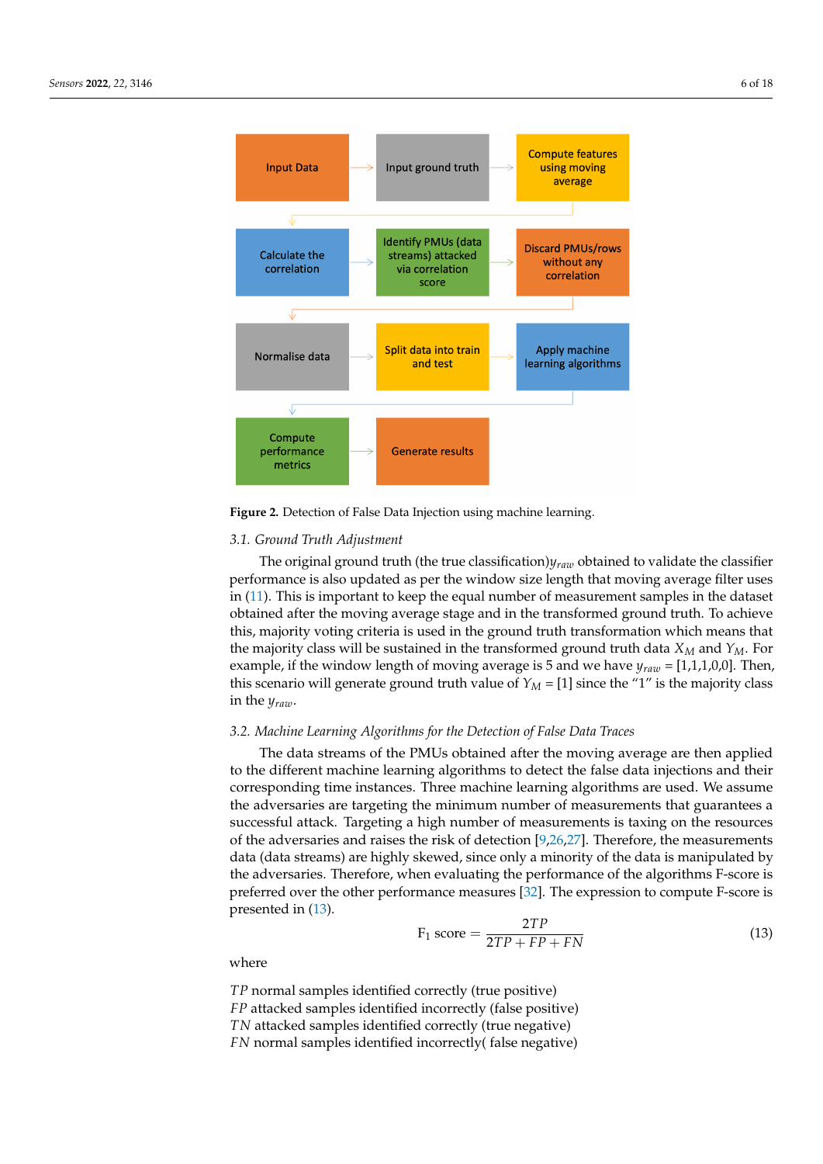<span id="page-5-0"></span>

**Figure 2.** Detection of False Data Injection using machine learning.

## *3.1. Ground Truth Adjustment*

The original ground truth (the true classification)*yraw* obtained to validate the classifier performance is also updated as per the window size length that moving average filter uses in [\(11\)](#page-4-2). This is important to keep the equal number of measurement samples in the dataset obtained after the moving average stage and in the transformed ground truth. To achieve this, majority voting criteria is used in the ground truth transformation which means that the majority class will be sustained in the transformed ground truth data  $X_M$  and  $Y_M$ . For example, if the window length of moving average is 5 and we have  $y_{\text{raw}} = [1,1,1,0,0]$ . Then, this scenario will generate ground truth value of  $Y_M = [1]$  since the "1" is the majority class in the *yraw*.

## *3.2. Machine Learning Algorithms for the Detection of False Data Traces*

The data streams of the PMUs obtained after the moving average are then applied to the different machine learning algorithms to detect the false data injections and their corresponding time instances. Three machine learning algorithms are used. We assume the adversaries are targeting the minimum number of measurements that guarantees a successful attack. Targeting a high number of measurements is taxing on the resources of the adversaries and raises the risk of detection [\[9](#page-16-5)[,26](#page-16-22)[,27\]](#page-16-23). Therefore, the measurements data (data streams) are highly skewed, since only a minority of the data is manipulated by the adversaries. Therefore, when evaluating the performance of the algorithms F-score is preferred over the other performance measures [\[32\]](#page-17-0). The expression to compute F-score is presented in [\(13\)](#page-5-1).

<span id="page-5-1"></span>
$$
F_1 \text{ score} = \frac{2TP}{2TP + FP + FN} \tag{13}
$$

where

*TP* normal samples identified correctly (true positive) *FP* attacked samples identified incorrectly (false positive) *TN* attacked samples identified correctly (true negative) *FN* normal samples identified incorrectly( false negative)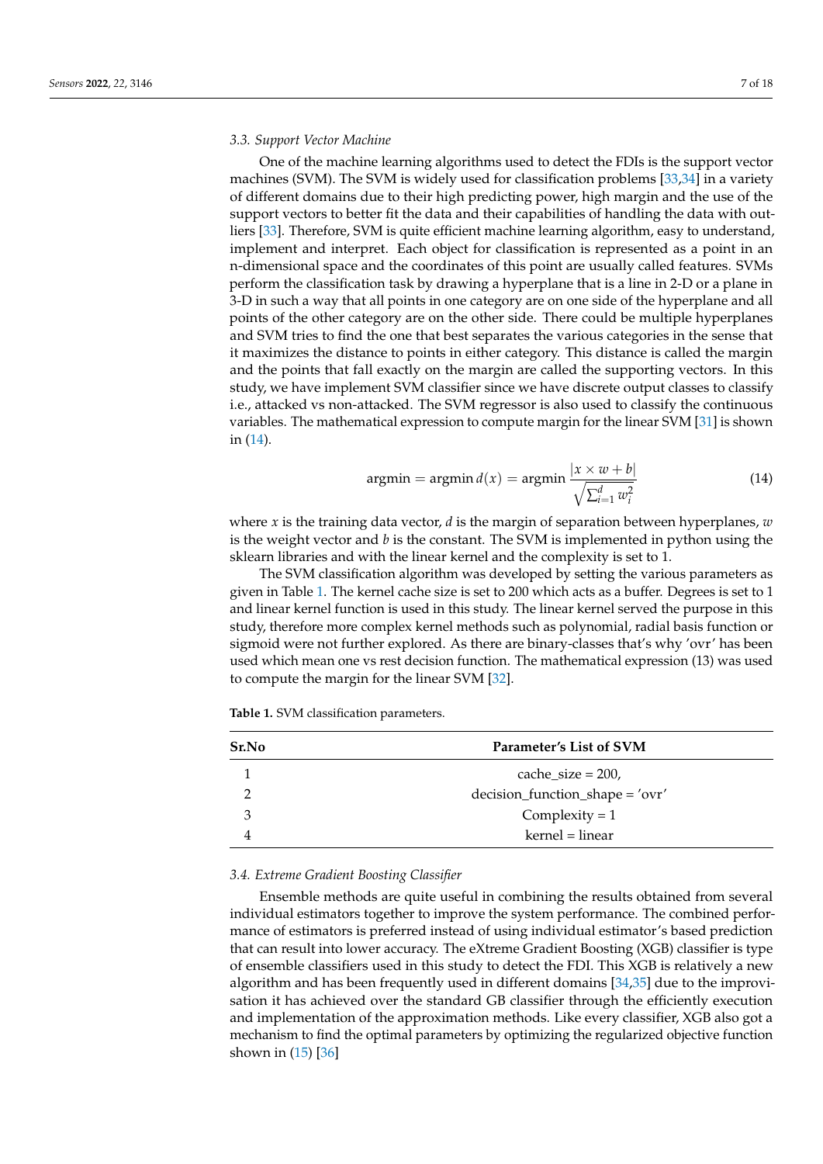#### <span id="page-6-2"></span>*3.3. Support Vector Machine*

One of the machine learning algorithms used to detect the FDIs is the support vector machines (SVM). The SVM is widely used for classification problems [\[33,](#page-17-1)[34\]](#page-17-2) in a variety of different domains due to their high predicting power, high margin and the use of the support vectors to better fit the data and their capabilities of handling the data with outliers [\[33\]](#page-17-1). Therefore, SVM is quite efficient machine learning algorithm, easy to understand, implement and interpret. Each object for classification is represented as a point in an n-dimensional space and the coordinates of this point are usually called features. SVMs perform the classification task by drawing a hyperplane that is a line in 2-D or a plane in 3-D in such a way that all points in one category are on one side of the hyperplane and all points of the other category are on the other side. There could be multiple hyperplanes and SVM tries to find the one that best separates the various categories in the sense that it maximizes the distance to points in either category. This distance is called the margin and the points that fall exactly on the margin are called the supporting vectors. In this study, we have implement SVM classifier since we have discrete output classes to classify i.e., attacked vs non-attacked. The SVM regressor is also used to classify the continuous variables. The mathematical expression to compute margin for the linear SVM [\[31\]](#page-16-27) is shown in [\(14\)](#page-6-0).

<span id="page-6-0"></span>
$$
argmin = argmin d(x) = argmin \frac{|x \times w + b|}{\sqrt{\sum_{i=1}^{d} w_i^2}}
$$
(14)

where *x* is the training data vector, *d* is the margin of separation between hyperplanes, *w* is the weight vector and *b* is the constant. The SVM is implemented in python using the sklearn libraries and with the linear kernel and the complexity is set to 1.

The SVM classification algorithm was developed by setting the various parameters as given in Table [1.](#page-6-1) The kernel cache size is set to 200 which acts as a buffer. Degrees is set to 1 and linear kernel function is used in this study. The linear kernel served the purpose in this study, therefore more complex kernel methods such as polynomial, radial basis function or sigmoid were not further explored. As there are binary-classes that's why 'ovr' has been used which mean one vs rest decision function. The mathematical expression (13) was used to compute the margin for the linear SVM [\[32\]](#page-17-0).

<span id="page-6-1"></span>**Table 1.** SVM classification parameters.

| Sr.No | Parameter's List of SVM         |
|-------|---------------------------------|
|       | cache size = $200$ ,            |
|       | decision_function_shape = 'ovr' |
| 3     | Complexity $= 1$                |
|       | kernel = linear                 |

#### *3.4. Extreme Gradient Boosting Classifier*

Ensemble methods are quite useful in combining the results obtained from several individual estimators together to improve the system performance. The combined performance of estimators is preferred instead of using individual estimator's based prediction that can result into lower accuracy. The eXtreme Gradient Boosting (XGB) classifier is type of ensemble classifiers used in this study to detect the FDI. This XGB is relatively a new algorithm and has been frequently used in different domains [\[34](#page-17-2)[,35\]](#page-17-3) due to the improvisation it has achieved over the standard GB classifier through the efficiently execution and implementation of the approximation methods. Like every classifier, XGB also got a mechanism to find the optimal parameters by optimizing the regularized objective function shown in [\(15\)](#page-7-1) [\[36\]](#page-17-4)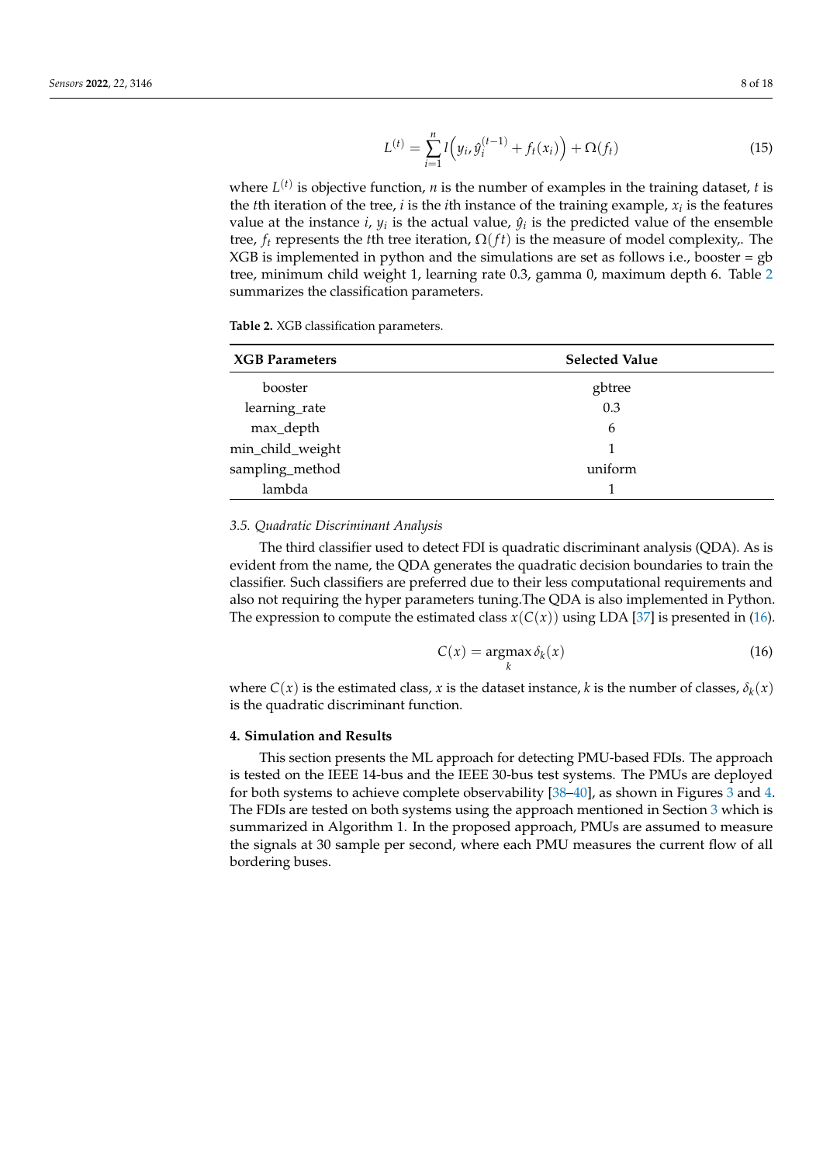<span id="page-7-1"></span>
$$
L^{(t)} = \sum_{i=1}^{n} l\left(y_i, \hat{y}_i^{(t-1)} + f_t(x_i)\right) + \Omega(f_t)
$$
\n(15)

where  $L^{(t)}$  is objective function, *n* is the number of examples in the training dataset, *t* is the *t*th iteration of the tree, *i* is the *i*th instance of the training example, *x<sup>i</sup>* is the features value at the instance *i*,  $y_i$  is the actual value,  $\hat{y}_i$  is the predicted value of the ensemble tree,  $f_t$  represents the *t*th tree iteration,  $\Omega(f_t)$  is the measure of model complexity. The  $XGB$  is implemented in python and the simulations are set as follows i.e., booster = gb tree, minimum child weight 1, learning rate 0.3, gamma 0, maximum depth 6. Table [2](#page-7-2) summarizes the classification parameters.

<span id="page-7-2"></span>**Table 2.** XGB classification parameters.

| <b>XGB</b> Parameters | <b>Selected Value</b> |
|-----------------------|-----------------------|
| booster               | gbtree                |
| learning_rate         | 0.3                   |
| max_depth             | 6                     |
| min_child_weight      | 1                     |
| sampling_method       | uniform               |
| lambda                |                       |

#### <span id="page-7-4"></span>*3.5. Quadratic Discriminant Analysis*

The third classifier used to detect FDI is quadratic discriminant analysis (QDA). As is evident from the name, the QDA generates the quadratic decision boundaries to train the classifier. Such classifiers are preferred due to their less computational requirements and also not requiring the hyper parameters tuning.The QDA is also implemented in Python. The expression to compute the estimated class  $x(C(x))$  using LDA [\[37\]](#page-17-5) is presented in [\(16\)](#page-7-3).

<span id="page-7-3"></span>
$$
C(x) = \underset{k}{\operatorname{argmax}} \delta_k(x) \tag{16}
$$

where  $C(x)$  is the estimated class, *x* is the dataset instance, *k* is the number of classes,  $\delta_k(x)$ is the quadratic discriminant function.

### <span id="page-7-0"></span>**4. Simulation and Results**

This section presents the ML approach for detecting PMU-based FDIs. The approach is tested on the IEEE 14-bus and the IEEE 30-bus test systems. The PMUs are deployed for both systems to achieve complete observability [\[38–](#page-17-6)[40\]](#page-17-7), as shown in Figures [3](#page-9-0) and [4.](#page-9-1) The FDIs are tested on both systems using the approach mentioned in Section [3](#page-4-0) which is summarized in Algorithm 1. In the proposed approach, PMUs are assumed to measure the signals at 30 sample per second, where each PMU measures the current flow of all bordering buses.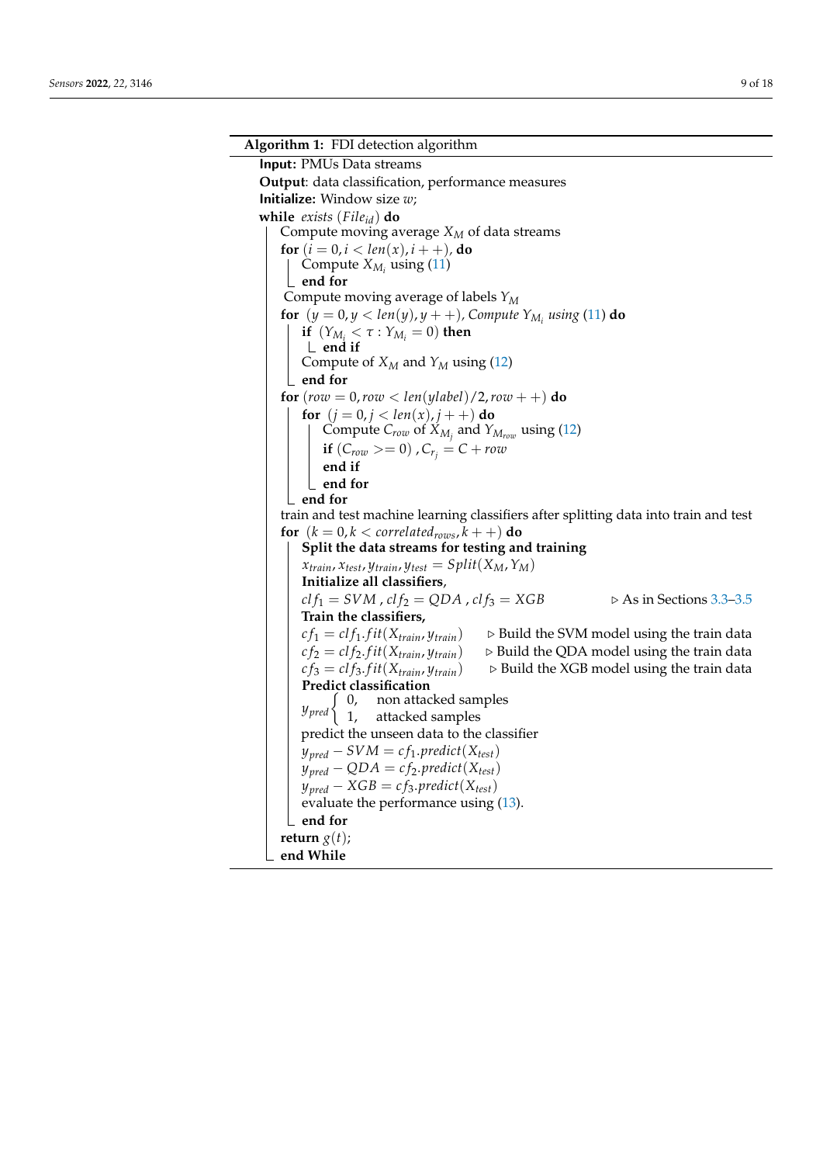**Algorithm 1:** FDI detection algorithm Input: PMUs Data streams **Output**: data classification, performance measures Initialize: Window size *w*; **while** *exists* (*Fileid*) **do** Compute moving average *X<sup>M</sup>* of data streams **for**  $(i = 0, i < len(x), i + 1)$ , **do** Compute  $X_{M_i}$  using [\(11\)](#page-4-2) **end for** Compute moving average of labels *Y<sup>M</sup>* **for**  $(y = 0, y < \text{len}(y), y + +)$ , Compute  $Y_{M_i}$  using [\(11\)](#page-4-2) **do if**  $(Y_{M_i} < \tau : Y_{M_i} = 0)$  **then end if** Compute of  $X_M$  and  $Y_M$  using [\(12\)](#page-4-3) **end for for** (*row* = 0,*row* < *len*(*ylabel*)/2,*row* + +) **do for**  $(j = 0, j < len(x), j++)$  **do** Compute *Crow* of *XM<sup>j</sup>* and *YMrow* using [\(12\)](#page-4-3) **if**  $(C_{row} >= 0)$  ,  $C_{r_i} = C + row$ **end if end for end for** train and test machine learning classifiers after splitting data into train and test **for**  $(k = 0, k <$  *correlated<sub>rows</sub>*,  $k +$  +  $)$  **do Split the data streams for testing and training**  $x_{train}$ ,  $x_{test}$ ,  $y_{train}$ ,  $y_{test} = Split(X_M, Y_M)$ **Initialize all classifiers**,  $clf_1 = SVM$ ,  $clf_2 = QDA$ ,  $clf_3 = XGB$  .  $\triangleright$  As in Sections [3.3–](#page-6-2)[3.5](#page-7-4) **Train the classifiers,**  $cf_1 = clf_1.fit(X_{train}, y_{train})$  .  $\triangleright$  Build the SVM model using the train data  $cf_2 = clf_2.fit(X_{train}, y_{train})$  .  $\triangleright$  Build the QDA model using the train data  $cf_3 = clf_3.fit(X_{train}, y_{train})$  . Build the XGB model using the train data **Predict classification**  $y$ <sub>*pred*</sub> $\begin{cases} 0, \\ 1, \end{cases}$ non attacked samples attacked samples predict the unseen data to the classifier  $y_{pred} - SVM = cf_1,predict(X_{test})$  $y_{pred} - QDA = cf_2,predict(X_{test})$  $y_{pred} - XGB = cf_3.predict(X_{test})$ evaluate the performance using [\(13\)](#page-5-1). **end for return**  $g(t)$ ; **end While**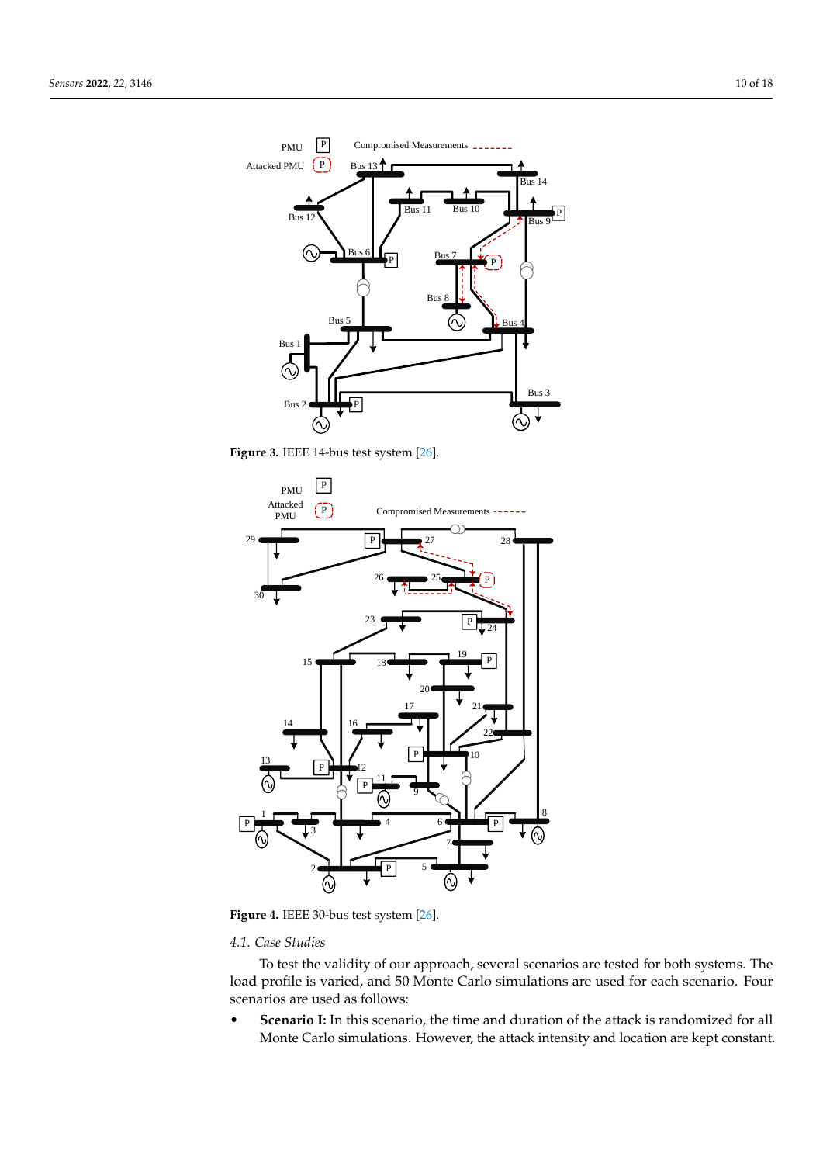<span id="page-9-0"></span>

<span id="page-9-1"></span>**Figure 3.** IEEE 14-bus test system [\[26\]](#page-16-22).



Figure 4. IEEE 30-bus test system [\[26\]](#page-16-22).

## *4.1. Case Studies*

To test the validity of our approach, several scenarios are tested for both systems. The load profile is varied, and 50 Monte Carlo simulations are used for each scenario. Four scenarios are used as follows:

• **Scenario I:** In this scenario, the time and duration of the attack is randomized for all Monte Carlo simulations. However, the attack intensity and location are kept constant.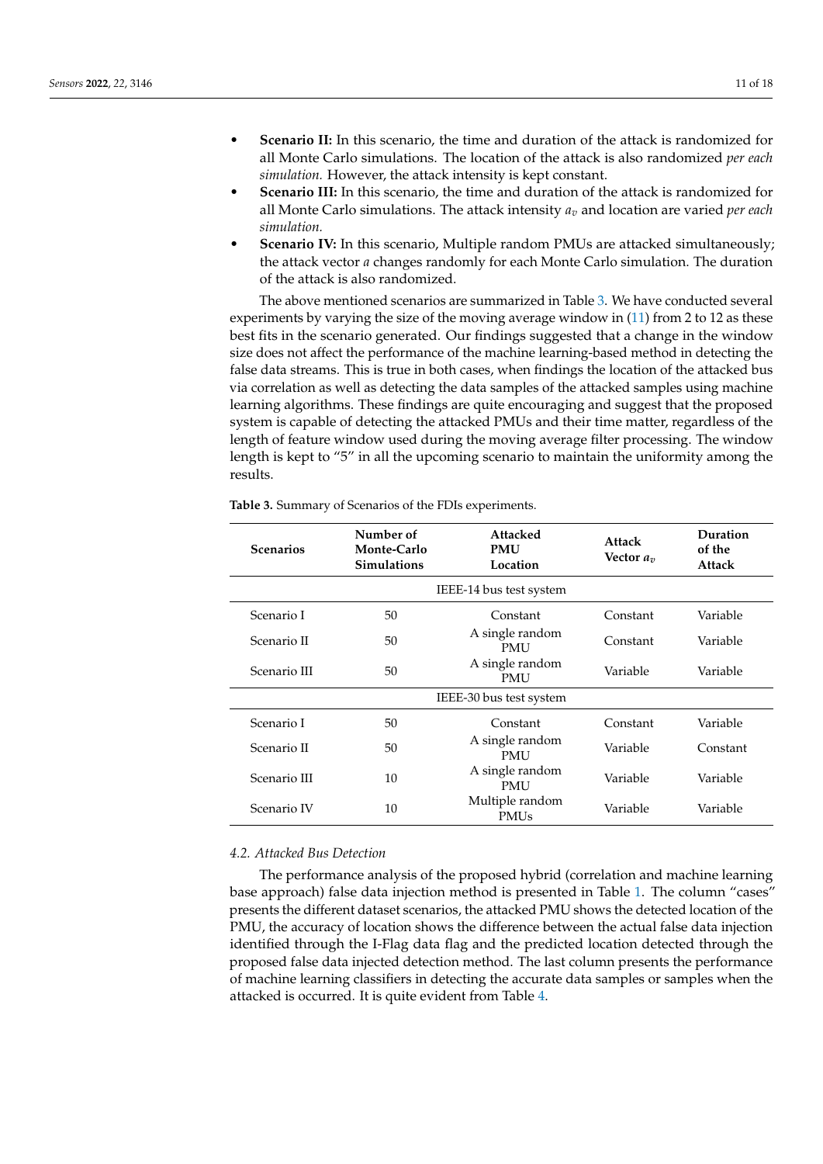- **Scenario III:** In this scenario, the time and duration of the attack is randomized for all Monte Carlo simulations. The attack intensity *a<sup>v</sup>* and location are varied *per each simulation.*
- **Scenario IV:** In this scenario, Multiple random PMUs are attacked simultaneously; the attack vector *a* changes randomly for each Monte Carlo simulation. The duration of the attack is also randomized.

The above mentioned scenarios are summarized in Table [3.](#page-10-0) We have conducted several experiments by varying the size of the moving average window in [\(11\)](#page-4-2) from 2 to 12 as these best fits in the scenario generated. Our findings suggested that a change in the window size does not affect the performance of the machine learning-based method in detecting the false data streams. This is true in both cases, when findings the location of the attacked bus via correlation as well as detecting the data samples of the attacked samples using machine learning algorithms. These findings are quite encouraging and suggest that the proposed system is capable of detecting the attacked PMUs and their time matter, regardless of the length of feature window used during the moving average filter processing. The window length is kept to "5" in all the upcoming scenario to maintain the uniformity among the results.

| <b>Scenarios</b> | Number of<br><b>Monte-Carlo</b><br><b>Simulations</b> | <b>Attacked</b><br><b>PMU</b><br>Location | Attack<br>Vector $a_n$ | Duration<br>of the<br><b>Attack</b> |  |
|------------------|-------------------------------------------------------|-------------------------------------------|------------------------|-------------------------------------|--|
|                  |                                                       | IEEE-14 bus test system                   |                        |                                     |  |
| Scenario I       | 50                                                    | Constant                                  | Constant               | Variable                            |  |
| Scenario II      | 50                                                    | A single random<br><b>PMU</b>             | Constant               | Variable                            |  |
| Scenario III     | 50                                                    | A single random<br>PMU                    | Variable               | Variable                            |  |
|                  | IEEE-30 bus test system                               |                                           |                        |                                     |  |
| Scenario I       | 50                                                    | Constant                                  | Constant               | Variable                            |  |
| Scenario II      | 50                                                    | A single random<br><b>PMU</b>             | Variable               | Constant                            |  |
| Scenario III     | 10                                                    | A single random<br><b>PMU</b>             | Variable               | Variable                            |  |
| Scenario IV      | 10                                                    | Multiple random<br><b>PMUs</b>            | Variable               | Variable                            |  |

<span id="page-10-0"></span>**Table 3.** Summary of Scenarios of the FDIs experiments.

## *4.2. Attacked Bus Detection*

The performance analysis of the proposed hybrid (correlation and machine learning base approach) false data injection method is presented in Table [1.](#page-6-1) The column "cases" presents the different dataset scenarios, the attacked PMU shows the detected location of the PMU, the accuracy of location shows the difference between the actual false data injection identified through the I-Flag data flag and the predicted location detected through the proposed false data injected detection method. The last column presents the performance of machine learning classifiers in detecting the accurate data samples or samples when the attacked is occurred. It is quite evident from Table [4.](#page-11-0)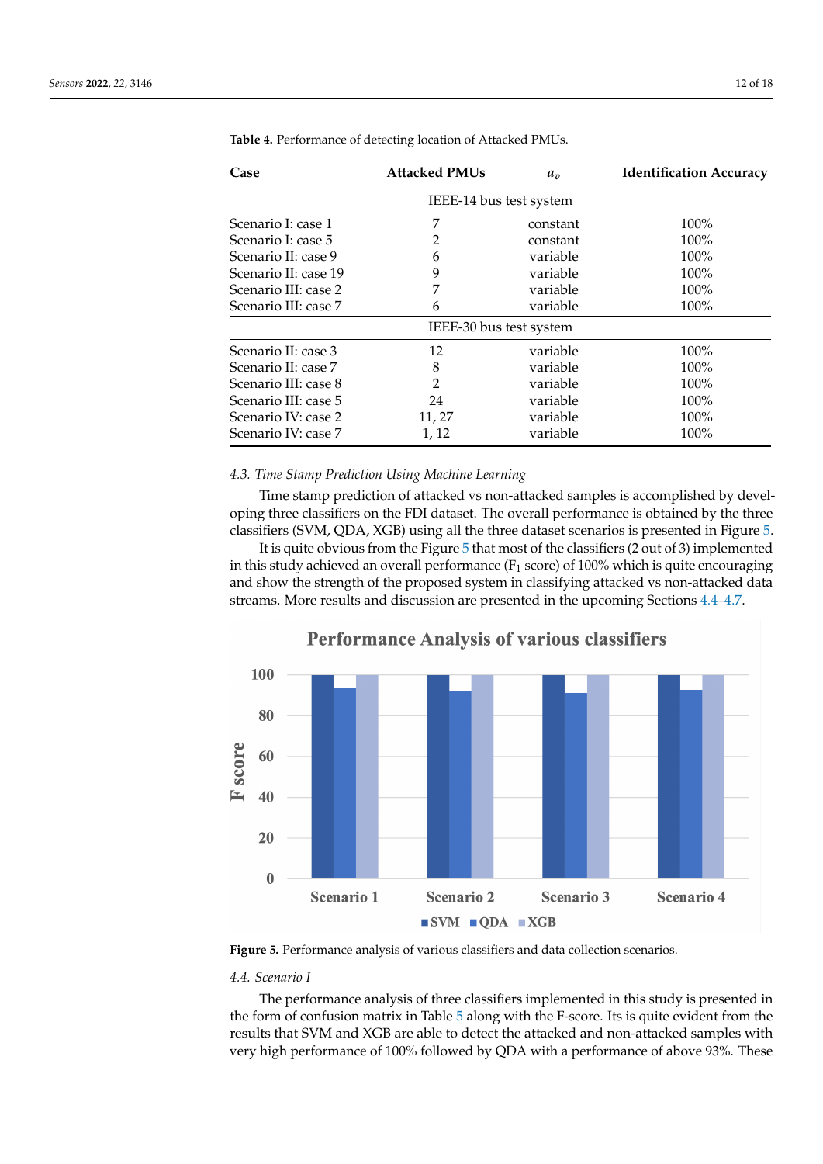| Case                    | <b>Attacked PMUs</b>    | $a_v$    | <b>Identification Accuracy</b> |  |
|-------------------------|-------------------------|----------|--------------------------------|--|
|                         | IEEE-14 bus test system |          |                                |  |
| Scenario I: case 1      | 7                       | constant | 100%                           |  |
| Scenario I: case 5      | 2                       | constant | $100\%$                        |  |
| Scenario II: case 9     | 6                       | variable | $100\%$                        |  |
| Scenario II: case 19    | 9                       | variable | 100%                           |  |
| Scenario III: case 2    | 7                       | variable | 100%                           |  |
| Scenario III: case 7    | 6                       | variable | 100%                           |  |
| IEEE-30 bus test system |                         |          |                                |  |
| Scenario II: case 3     | 12                      | variable | 100%                           |  |
| Scenario II: case 7     | 8                       | variable | $100\%$                        |  |
| Scenario III: case 8    | $\overline{2}$          | variable | $100\%$                        |  |
| Scenario III: case 5    | 24                      | variable | 100%                           |  |
| Scenario IV: case 2     | 11, 27                  | variable | $100\%$                        |  |
| Scenario IV: case 7     | 1, 12                   | variable | 100%                           |  |

<span id="page-11-0"></span>**Table 4.** Performance of detecting location of Attacked PMUs.

## *4.3. Time Stamp Prediction Using Machine Learning*

Time stamp prediction of attacked vs non-attacked samples is accomplished by developing three classifiers on the FDI dataset. The overall performance is obtained by the three classifiers (SVM, QDA, XGB) using all the three dataset scenarios is presented in Figure [5.](#page-11-1)

It is quite obvious from the Figure [5](#page-11-1) that most of the classifiers (2 out of 3) implemented in this study achieved an overall performance ( $F_1$  score) of 100% which is quite encouraging and show the strength of the proposed system in classifying attacked vs non-attacked data streams. More results and discussion are presented in the upcoming Sections [4.4](#page-11-2)[–4.7.](#page-13-0)

<span id="page-11-1"></span>

## **Performance Analysis of various classifiers**

**Figure 5.** Performance analysis of various classifiers and data collection scenarios.

### <span id="page-11-2"></span>*4.4. Scenario I*

The performance analysis of three classifiers implemented in this study is presented in the form of confusion matrix in Table [5](#page-12-0) along with the F-score. Its is quite evident from the results that SVM and XGB are able to detect the attacked and non-attacked samples with very high performance of 100% followed by QDA with a performance of above 93%. These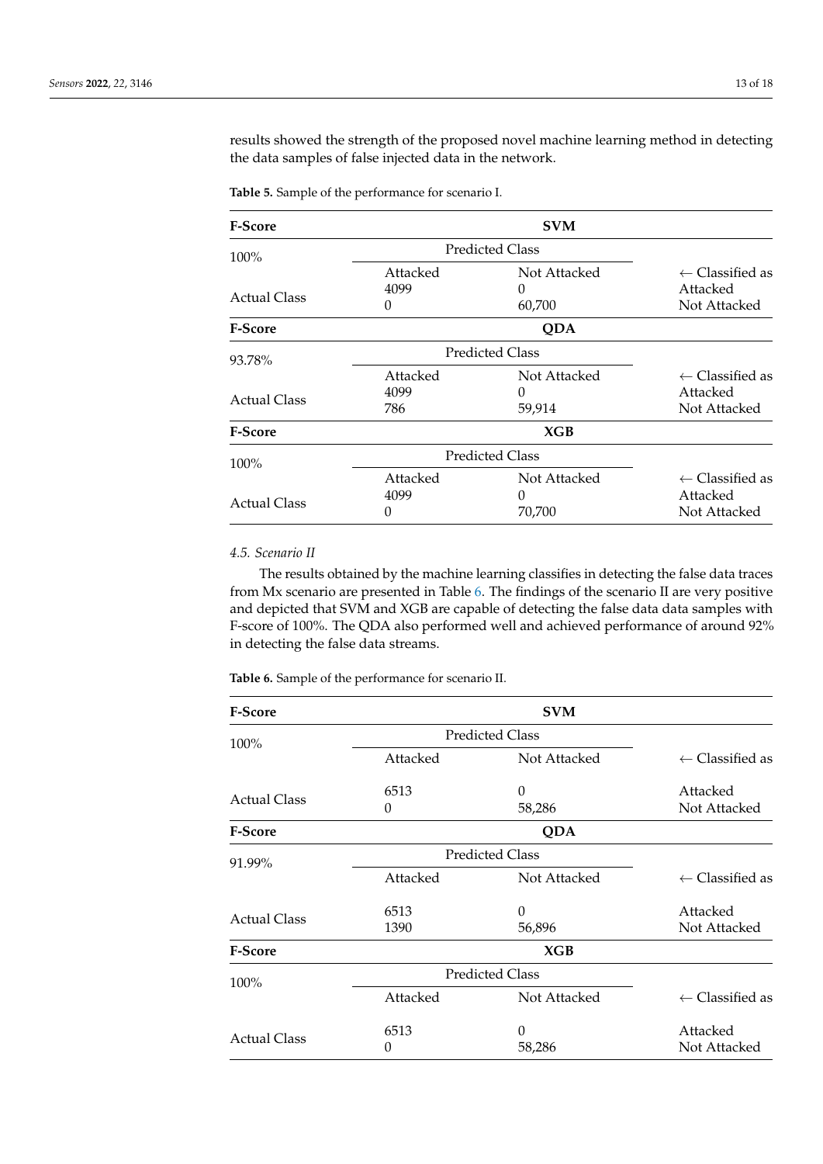results showed the strength of the proposed novel machine learning method in detecting the data samples of false injected data in the network.

<span id="page-12-0"></span>**Table 5.** Sample of the performance for scenario I.

| <b>F-Score</b>      |                        | <b>SVM</b>             |                            |
|---------------------|------------------------|------------------------|----------------------------|
| 100%                |                        | <b>Predicted Class</b> |                            |
|                     | Attacked               | Not Attacked           | $\leftarrow$ Classified as |
|                     | 4099                   | $\Omega$               | Attacked                   |
| Actual Class        | 0                      | 60,700                 | Not Attacked               |
| <b>F-Score</b>      |                        | QDA                    |                            |
| 93.78%              | <b>Predicted Class</b> |                        |                            |
|                     | Attacked               | Not Attacked           | $\leftarrow$ Classified as |
| <b>Actual Class</b> | 4099                   | $\theta$               | Attacked                   |
|                     | 786                    | 59,914                 | Not Attacked               |
| F-Score             |                        | XGB                    |                            |
| 100%                | <b>Predicted Class</b> |                        |                            |
|                     | Attacked               | Not Attacked           | $\leftarrow$ Classified as |
| <b>Actual Class</b> | 4099                   | $\Omega$               | Attacked                   |
|                     | 0                      | 70,700                 | Not Attacked               |

## *4.5. Scenario II*

The results obtained by the machine learning classifies in detecting the false data traces from Mx scenario are presented in Table [6.](#page-12-1) The findings of the scenario II are very positive and depicted that SVM and XGB are capable of detecting the false data data samples with F-score of 100%. The QDA also performed well and achieved performance of around 92% in detecting the false data streams.

<span id="page-12-1"></span>**Table 6.** Sample of the performance for scenario II.

| <b>F-Score</b>      |                        | <b>SVM</b>             |                            |
|---------------------|------------------------|------------------------|----------------------------|
| 100%                |                        | <b>Predicted Class</b> |                            |
|                     | Attacked               | Not Attacked           | $\leftarrow$ Classified as |
| <b>Actual Class</b> | 6513                   | 0                      | Attacked                   |
|                     | 0                      | 58,286                 | Not Attacked               |
| <b>F-Score</b>      |                        | QDA                    |                            |
| 91.99%              | <b>Predicted Class</b> |                        |                            |
|                     | Attacked               | Not Attacked           | $\leftarrow$ Classified as |
|                     | 6513                   | 0                      | Attacked                   |
| <b>Actual Class</b> | 1390                   | 56,896                 | Not Attacked               |
| <b>F-Score</b>      |                        | XGB                    |                            |
| 100%                | <b>Predicted Class</b> |                        |                            |
|                     | Attacked               | Not Attacked           | $\leftarrow$ Classified as |
|                     | 6513                   | 0                      | Attacked                   |
| <b>Actual Class</b> | 0                      | 58,286                 | Not Attacked               |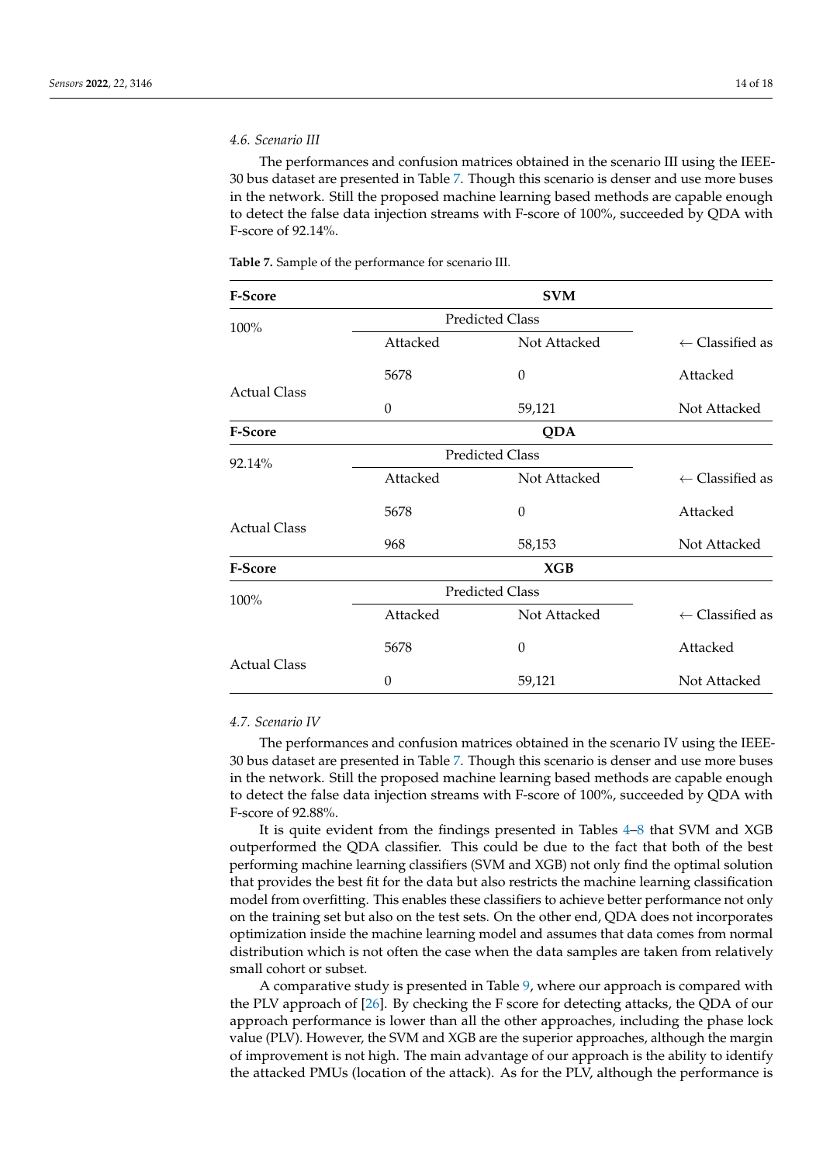## *4.6. Scenario III*

The performances and confusion matrices obtained in the scenario III using the IEEE-30 bus dataset are presented in Table [7.](#page-13-1) Though this scenario is denser and use more buses in the network. Still the proposed machine learning based methods are capable enough to detect the false data injection streams with F-score of 100%, succeeded by QDA with F-score of 92.14%.

<span id="page-13-1"></span>

| <b>Table 7.</b> Sample of the performance for scenario III. |  |  |  |
|-------------------------------------------------------------|--|--|--|
|-------------------------------------------------------------|--|--|--|

| F-Score             |                        | <b>SVM</b>             |                            |
|---------------------|------------------------|------------------------|----------------------------|
| 100%                |                        | <b>Predicted Class</b> |                            |
|                     | Attacked               | Not Attacked           | $\leftarrow$ Classified as |
|                     | 5678                   | 0                      | Attacked                   |
| <b>Actual Class</b> | 0                      | 59,121                 | Not Attacked               |
| <b>F-Score</b>      |                        | <b>QDA</b>             |                            |
| 92.14%              |                        | <b>Predicted Class</b> |                            |
|                     | Attacked               | Not Attacked           | $\leftarrow$ Classified as |
|                     | 5678                   | 0                      | Attacked                   |
| <b>Actual Class</b> | 968                    | 58,153                 | Not Attacked               |
| <b>F-Score</b>      |                        | XGB                    |                            |
| 100%                | <b>Predicted Class</b> |                        |                            |
|                     | Attacked               | Not Attacked           | $\leftarrow$ Classified as |
|                     | 5678                   | $\theta$               | Attacked                   |
| <b>Actual Class</b> | 0                      | 59,121                 | Not Attacked               |

## <span id="page-13-0"></span>*4.7. Scenario IV*

The performances and confusion matrices obtained in the scenario IV using the IEEE-30 bus dataset are presented in Table [7.](#page-13-1) Though this scenario is denser and use more buses in the network. Still the proposed machine learning based methods are capable enough to detect the false data injection streams with F-score of 100%, succeeded by QDA with F-score of 92.88%.

It is quite evident from the findings presented in Tables [4](#page-11-0)[–8](#page-14-0) that SVM and XGB outperformed the QDA classifier. This could be due to the fact that both of the best performing machine learning classifiers (SVM and XGB) not only find the optimal solution that provides the best fit for the data but also restricts the machine learning classification model from overfitting. This enables these classifiers to achieve better performance not only on the training set but also on the test sets. On the other end, QDA does not incorporates optimization inside the machine learning model and assumes that data comes from normal distribution which is not often the case when the data samples are taken from relatively small cohort or subset.

A comparative study is presented in Table [9,](#page-14-1) where our approach is compared with the PLV approach of [\[26\]](#page-16-22). By checking the F score for detecting attacks, the QDA of our approach performance is lower than all the other approaches, including the phase lock value (PLV). However, the SVM and XGB are the superior approaches, although the margin of improvement is not high. The main advantage of our approach is the ability to identify the attacked PMUs (location of the attack). As for the PLV, although the performance is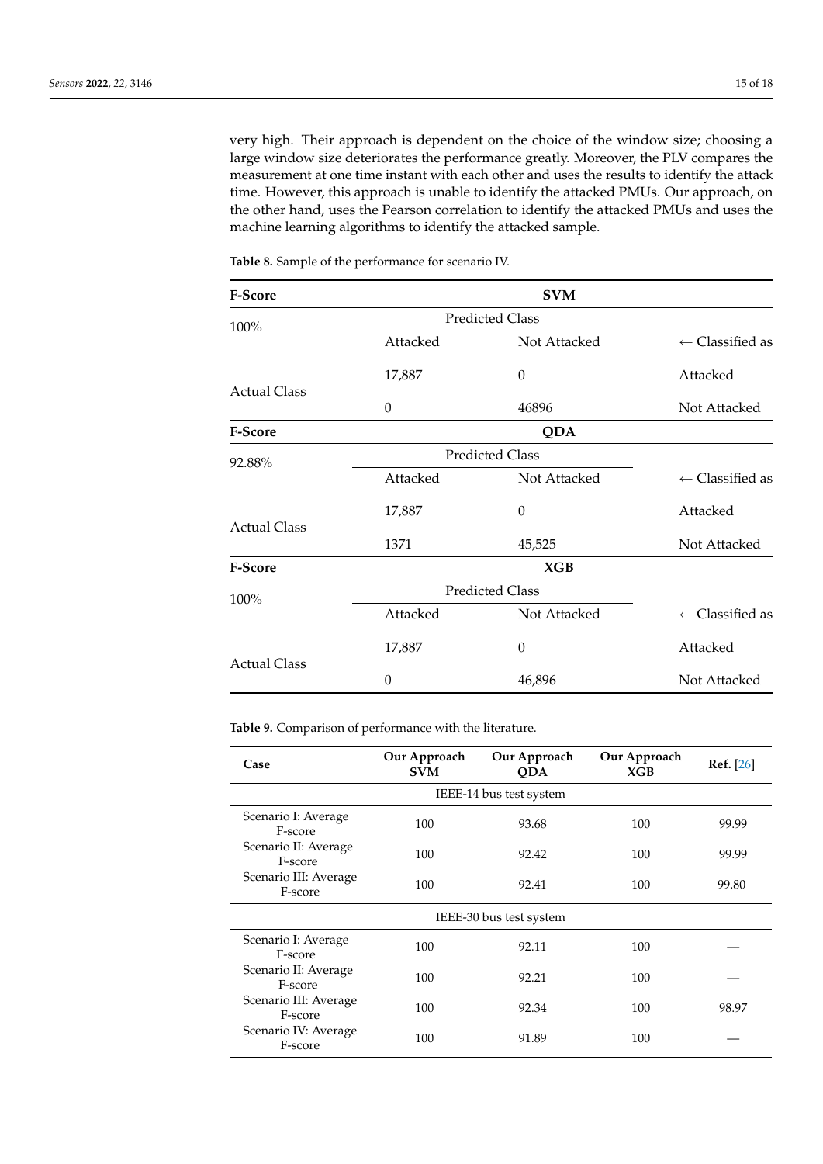very high. Their approach is dependent on the choice of the window size; choosing a large window size deteriorates the performance greatly. Moreover, the PLV compares the measurement at one time instant with each other and uses the results to identify the attack time. However, this approach is unable to identify the attacked PMUs. Our approach, on the other hand, uses the Pearson correlation to identify the attacked PMUs and uses the machine learning algorithms to identify the attacked sample.

| <b>F-Score</b>      |          | <b>SVM</b>             |                            |
|---------------------|----------|------------------------|----------------------------|
| 100%                |          | <b>Predicted Class</b> |                            |
|                     | Attacked | Not Attacked           | $\leftarrow$ Classified as |
|                     | 17,887   | 0                      | Attacked                   |
| <b>Actual Class</b> | $\theta$ | 46896                  | Not Attacked               |
| <b>F-Score</b>      |          | <b>QDA</b>             |                            |
| 92.88%              |          | <b>Predicted Class</b> |                            |
|                     | Attacked | Not Attacked           | $\leftarrow$ Classified as |
|                     | 17,887   | $\theta$               | Attacked                   |
| <b>Actual Class</b> | 1371     | 45,525                 | Not Attacked               |
| <b>F-Score</b>      |          | XGB                    |                            |
| 100%                |          | <b>Predicted Class</b> |                            |
|                     | Attacked | Not Attacked           | $\leftarrow$ Classified as |
| <b>Actual Class</b> | 17,887   | 0                      | Attacked                   |
|                     | $\theta$ | 46,896                 | Not Attacked               |

<span id="page-14-0"></span>**Table 8.** Sample of the performance for scenario IV.

<span id="page-14-1"></span>**Table 9.** Comparison of performance with the literature.

| Case                             | Our Approach<br><b>SVM</b> | Our Approach<br><b>QDA</b> | Our Approach<br>XGB | <b>Ref.</b> [26] |
|----------------------------------|----------------------------|----------------------------|---------------------|------------------|
|                                  |                            | IEEE-14 bus test system    |                     |                  |
| Scenario I: Average<br>F-score   | 100                        | 93.68                      | 100                 | 99.99            |
| Scenario II: Average<br>F-score  | 100                        | 92.42                      | 100                 | 99.99            |
| Scenario III: Average<br>F-score | 100                        | 92.41                      | 100                 | 99.80            |
| IEEE-30 bus test system          |                            |                            |                     |                  |
| Scenario I: Average<br>F-score   | 100                        | 92.11                      | 100                 |                  |
| Scenario II: Average<br>F-score  | 100                        | 92.21                      | 100                 |                  |
| Scenario III: Average<br>F-score | 100                        | 92.34                      | 100                 | 98.97            |
| Scenario IV: Average<br>F-score  | 100                        | 91.89                      | 100                 |                  |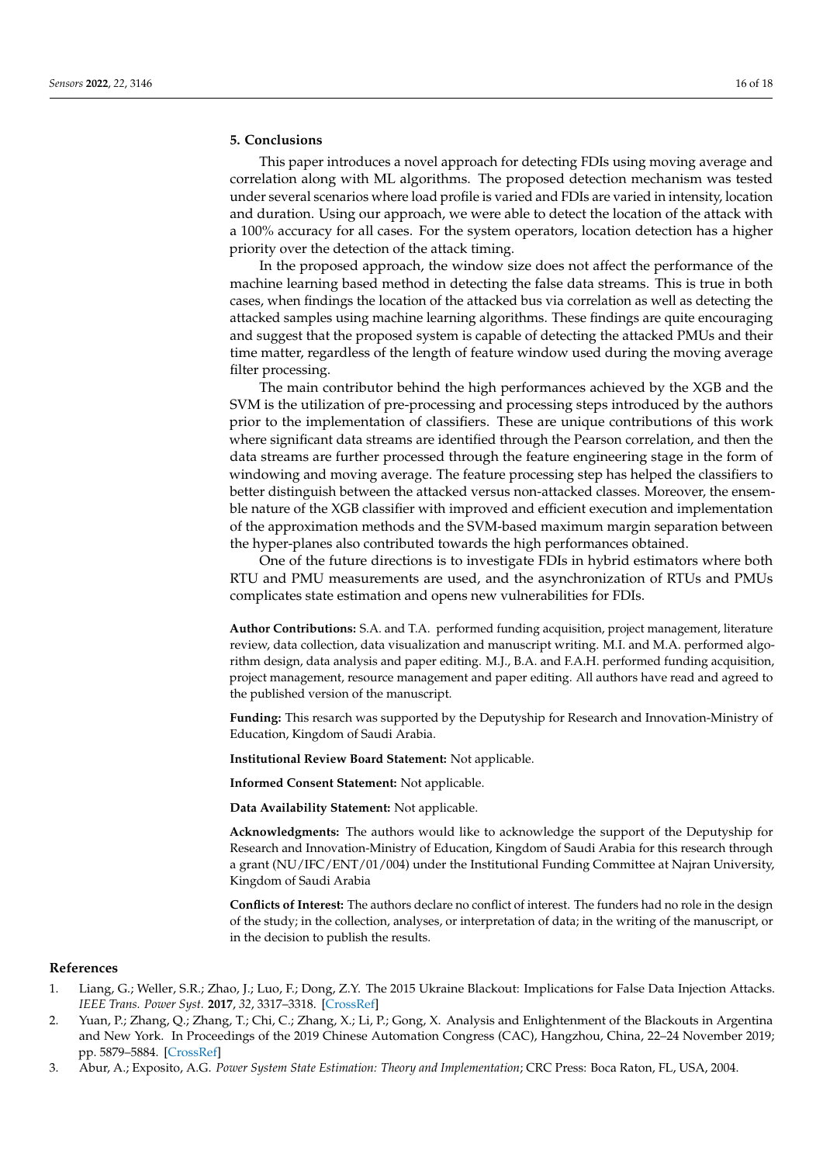## <span id="page-15-3"></span>**5. Conclusions**

This paper introduces a novel approach for detecting FDIs using moving average and correlation along with ML algorithms. The proposed detection mechanism was tested under several scenarios where load profile is varied and FDIs are varied in intensity, location and duration. Using our approach, we were able to detect the location of the attack with a 100% accuracy for all cases. For the system operators, location detection has a higher priority over the detection of the attack timing.

In the proposed approach, the window size does not affect the performance of the machine learning based method in detecting the false data streams. This is true in both cases, when findings the location of the attacked bus via correlation as well as detecting the attacked samples using machine learning algorithms. These findings are quite encouraging and suggest that the proposed system is capable of detecting the attacked PMUs and their time matter, regardless of the length of feature window used during the moving average filter processing.

The main contributor behind the high performances achieved by the XGB and the SVM is the utilization of pre-processing and processing steps introduced by the authors prior to the implementation of classifiers. These are unique contributions of this work where significant data streams are identified through the Pearson correlation, and then the data streams are further processed through the feature engineering stage in the form of windowing and moving average. The feature processing step has helped the classifiers to better distinguish between the attacked versus non-attacked classes. Moreover, the ensemble nature of the XGB classifier with improved and efficient execution and implementation of the approximation methods and the SVM-based maximum margin separation between the hyper-planes also contributed towards the high performances obtained.

One of the future directions is to investigate FDIs in hybrid estimators where both RTU and PMU measurements are used, and the asynchronization of RTUs and PMUs complicates state estimation and opens new vulnerabilities for FDIs.

**Author Contributions:** S.A. and T.A. performed funding acquisition, project management, literature review, data collection, data visualization and manuscript writing. M.I. and M.A. performed algorithm design, data analysis and paper editing. M.J., B.A. and F.A.H. performed funding acquisition, project management, resource management and paper editing. All authors have read and agreed to the published version of the manuscript.

**Funding:** This resarch was supported by the Deputyship for Research and Innovation-Ministry of Education, Kingdom of Saudi Arabia.

**Institutional Review Board Statement:** Not applicable.

**Informed Consent Statement:** Not applicable.

**Data Availability Statement:** Not applicable.

**Acknowledgments:** The authors would like to acknowledge the support of the Deputyship for Research and Innovation-Ministry of Education, Kingdom of Saudi Arabia for this research through a grant (NU/IFC/ENT/01/004) under the Institutional Funding Committee at Najran University, Kingdom of Saudi Arabia

**Conflicts of Interest:** The authors declare no conflict of interest. The funders had no role in the design of the study; in the collection, analyses, or interpretation of data; in the writing of the manuscript, or in the decision to publish the results.

#### **References**

- <span id="page-15-0"></span>1. Liang, G.; Weller, S.R.; Zhao, J.; Luo, F.; Dong, Z.Y. The 2015 Ukraine Blackout: Implications for False Data Injection Attacks. *IEEE Trans. Power Syst.* **2017**, *32*, 3317–3318. [\[CrossRef\]](http://doi.org/10.1109/TPWRS.2016.2631891)
- <span id="page-15-1"></span>2. Yuan, P.; Zhang, Q.; Zhang, T.; Chi, C.; Zhang, X.; Li, P.; Gong, X. Analysis and Enlightenment of the Blackouts in Argentina and New York. In Proceedings of the 2019 Chinese Automation Congress (CAC), Hangzhou, China, 22–24 November 2019; pp. 5879–5884. [\[CrossRef\]](http://dx.doi.org/10.1109/CAC48633.2019.8997461)
- <span id="page-15-2"></span>3. Abur, A.; Exposito, A.G. *Power System State Estimation: Theory and Implementation*; CRC Press: Boca Raton, FL, USA, 2004.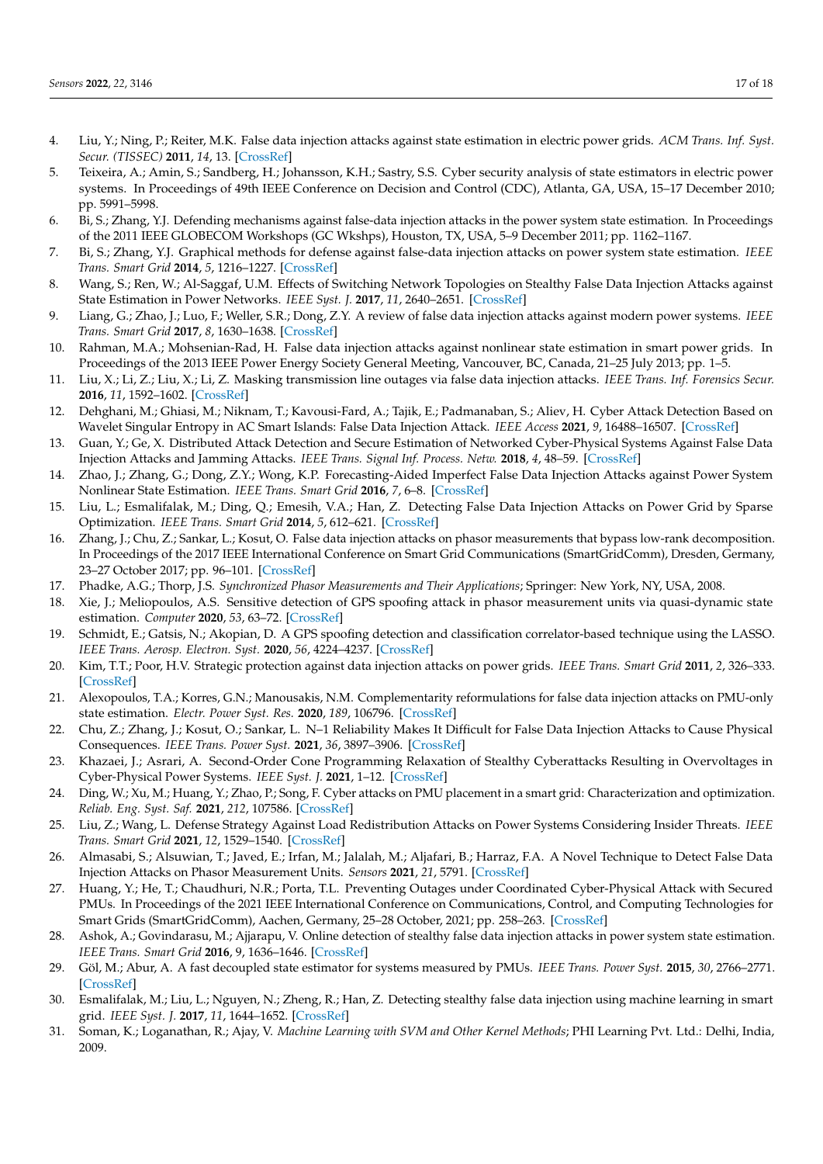- <span id="page-16-0"></span>4. Liu, Y.; Ning, P.; Reiter, M.K. False data injection attacks against state estimation in electric power grids. *ACM Trans. Inf. Syst. Secur. (TISSEC)* **2011**, *14*, 13. [\[CrossRef\]](http://dx.doi.org/10.1145/1952982.1952995)
- <span id="page-16-1"></span>5. Teixeira, A.; Amin, S.; Sandberg, H.; Johansson, K.H.; Sastry, S.S. Cyber security analysis of state estimators in electric power systems. In Proceedings of 49th IEEE Conference on Decision and Control (CDC), Atlanta, GA, USA, 15–17 December 2010; pp. 5991–5998.
- <span id="page-16-2"></span>6. Bi, S.; Zhang, Y.J. Defending mechanisms against false-data injection attacks in the power system state estimation. In Proceedings of the 2011 IEEE GLOBECOM Workshops (GC Wkshps), Houston, TX, USA, 5–9 December 2011; pp. 1162–1167.
- <span id="page-16-3"></span>7. Bi, S.; Zhang, Y.J. Graphical methods for defense against false-data injection attacks on power system state estimation. *IEEE Trans. Smart Grid* **2014**, *5*, 1216–1227. [\[CrossRef\]](http://dx.doi.org/10.1109/TSG.2013.2294966)
- <span id="page-16-4"></span>8. Wang, S.; Ren, W.; Al-Saggaf, U.M. Effects of Switching Network Topologies on Stealthy False Data Injection Attacks against State Estimation in Power Networks. *IEEE Syst. J.* **2017**, *11*, 2640–2651. [\[CrossRef\]](http://dx.doi.org/10.1109/JSYST.2015.2494521)
- <span id="page-16-5"></span>9. Liang, G.; Zhao, J.; Luo, F.; Weller, S.R.; Dong, Z.Y. A review of false data injection attacks against modern power systems. *IEEE Trans. Smart Grid* **2017**, *8*, 1630–1638. [\[CrossRef\]](http://dx.doi.org/10.1109/TSG.2015.2495133)
- <span id="page-16-6"></span>10. Rahman, M.A.; Mohsenian-Rad, H. False data injection attacks against nonlinear state estimation in smart power grids. In Proceedings of the 2013 IEEE Power Energy Society General Meeting, Vancouver, BC, Canada, 21–25 July 2013; pp. 1–5.
- <span id="page-16-7"></span>11. Liu, X.; Li, Z.; Liu, X.; Li, Z. Masking transmission line outages via false data injection attacks. *IEEE Trans. Inf. Forensics Secur.* **2016**, *11*, 1592–1602. [\[CrossRef\]](http://dx.doi.org/10.1109/TIFS.2016.2542061)
- <span id="page-16-8"></span>12. Dehghani, M.; Ghiasi, M.; Niknam, T.; Kavousi-Fard, A.; Tajik, E.; Padmanaban, S.; Aliev, H. Cyber Attack Detection Based on Wavelet Singular Entropy in AC Smart Islands: False Data Injection Attack. *IEEE Access* **2021**, *9*, 16488–16507. [\[CrossRef\]](http://dx.doi.org/10.1109/ACCESS.2021.3051300)
- <span id="page-16-9"></span>13. Guan, Y.; Ge, X. Distributed Attack Detection and Secure Estimation of Networked Cyber-Physical Systems Against False Data Injection Attacks and Jamming Attacks. *IEEE Trans. Signal Inf. Process. Netw.* **2018**, *4*, 48–59. [\[CrossRef\]](http://dx.doi.org/10.1109/TSIPN.2017.2749959)
- <span id="page-16-10"></span>14. Zhao, J.; Zhang, G.; Dong, Z.Y.; Wong, K.P. Forecasting-Aided Imperfect False Data Injection Attacks against Power System Nonlinear State Estimation. *IEEE Trans. Smart Grid* **2016**, *7*, 6–8. [\[CrossRef\]](http://dx.doi.org/10.1109/TSG.2015.2490603)
- <span id="page-16-11"></span>15. Liu, L.; Esmalifalak, M.; Ding, Q.; Emesih, V.A.; Han, Z. Detecting False Data Injection Attacks on Power Grid by Sparse Optimization. *IEEE Trans. Smart Grid* **2014**, *5*, 612–621. [\[CrossRef\]](http://dx.doi.org/10.1109/TSG.2013.2284438)
- <span id="page-16-12"></span>16. Zhang, J.; Chu, Z.; Sankar, L.; Kosut, O. False data injection attacks on phasor measurements that bypass low-rank decomposition. In Proceedings of the 2017 IEEE International Conference on Smart Grid Communications (SmartGridComm), Dresden, Germany, 23–27 October 2017; pp. 96–101. [\[CrossRef\]](http://dx.doi.org/10.1109/SmartGridComm.2017.8340729)
- <span id="page-16-13"></span>17. Phadke, A.G.; Thorp, J.S. *Synchronized Phasor Measurements and Their Applications*; Springer: New York, NY, USA, 2008.
- <span id="page-16-14"></span>18. Xie, J.; Meliopoulos, A.S. Sensitive detection of GPS spoofing attack in phasor measurement units via quasi-dynamic state estimation. *Computer* **2020**, *53*, 63–72. [\[CrossRef\]](http://dx.doi.org/10.1109/MC.2020.2976943)
- <span id="page-16-15"></span>19. Schmidt, E.; Gatsis, N.; Akopian, D. A GPS spoofing detection and classification correlator-based technique using the LASSO. *IEEE Trans. Aerosp. Electron. Syst.* **2020**, *56*, 4224–4237. [\[CrossRef\]](http://dx.doi.org/10.1109/TAES.2020.2990149)
- <span id="page-16-16"></span>20. Kim, T.T.; Poor, H.V. Strategic protection against data injection attacks on power grids. *IEEE Trans. Smart Grid* **2011**, *2*, 326–333. [\[CrossRef\]](http://dx.doi.org/10.1109/TSG.2011.2119336)
- <span id="page-16-17"></span>21. Alexopoulos, T.A.; Korres, G.N.; Manousakis, N.M. Complementarity reformulations for false data injection attacks on PMU-only state estimation. *Electr. Power Syst. Res.* **2020**, *189*, 106796. [\[CrossRef\]](http://dx.doi.org/10.1016/j.epsr.2020.106796)
- <span id="page-16-18"></span>22. Chu, Z.; Zhang, J.; Kosut, O.; Sankar, L. N–1 Reliability Makes It Difficult for False Data Injection Attacks to Cause Physical Consequences. *IEEE Trans. Power Syst.* **2021**, *36*, 3897–3906. [\[CrossRef\]](http://dx.doi.org/10.1109/TPWRS.2021.3061480)
- <span id="page-16-19"></span>23. Khazaei, J.; Asrari, A. Second-Order Cone Programming Relaxation of Stealthy Cyberattacks Resulting in Overvoltages in Cyber-Physical Power Systems. *IEEE Syst. J.* **2021**, 1–12. [\[CrossRef\]](http://dx.doi.org/10.1109/JSYST.2021.3108635)
- <span id="page-16-20"></span>24. Ding, W.; Xu, M.; Huang, Y.; Zhao, P.; Song, F. Cyber attacks on PMU placement in a smart grid: Characterization and optimization. *Reliab. Eng. Syst. Saf.* **2021**, *212*, 107586. [\[CrossRef\]](http://dx.doi.org/10.1016/j.ress.2021.107586)
- <span id="page-16-21"></span>25. Liu, Z.; Wang, L. Defense Strategy Against Load Redistribution Attacks on Power Systems Considering Insider Threats. *IEEE Trans. Smart Grid* **2021**, *12*, 1529–1540. [\[CrossRef\]](http://dx.doi.org/10.1109/TSG.2020.3023426)
- <span id="page-16-22"></span>26. Almasabi, S.; Alsuwian, T.; Javed, E.; Irfan, M.; Jalalah, M.; Aljafari, B.; Harraz, F.A. A Novel Technique to Detect False Data Injection Attacks on Phasor Measurement Units. *Sensors* **2021**, *21*, 5791. [\[CrossRef\]](http://dx.doi.org/10.3390/s21175791)
- <span id="page-16-23"></span>27. Huang, Y.; He, T.; Chaudhuri, N.R.; Porta, T.L. Preventing Outages under Coordinated Cyber-Physical Attack with Secured PMUs. In Proceedings of the 2021 IEEE International Conference on Communications, Control, and Computing Technologies for Smart Grids (SmartGridComm), Aachen, Germany, 25–28 October, 2021; pp. 258–263. [\[CrossRef\]](http://dx.doi.org/10.1109/SmartGridComm51999.2021.9632306)
- <span id="page-16-24"></span>28. Ashok, A.; Govindarasu, M.; Ajjarapu, V. Online detection of stealthy false data injection attacks in power system state estimation. *IEEE Trans. Smart Grid* **2016**, 9, 1636–1646. [\[CrossRef\]](http://dx.doi.org/10.1109/TSG.2016.2596298)
- <span id="page-16-25"></span>29. Göl, M.; Abur, A. A fast decoupled state estimator for systems measured by PMUs. *IEEE Trans. Power Syst.* **2015**, *30*, 2766–2771. [\[CrossRef\]](http://dx.doi.org/10.1109/TPWRS.2014.2365759)
- <span id="page-16-26"></span>30. Esmalifalak, M.; Liu, L.; Nguyen, N.; Zheng, R.; Han, Z. Detecting stealthy false data injection using machine learning in smart grid. *IEEE Syst. J.* **2017**, *11*, 1644–1652. [\[CrossRef\]](http://dx.doi.org/10.1109/JSYST.2014.2341597)
- <span id="page-16-27"></span>31. Soman, K.; Loganathan, R.; Ajay, V. *Machine Learning with SVM and Other Kernel Methods*; PHI Learning Pvt. Ltd.: Delhi, India, 2009.